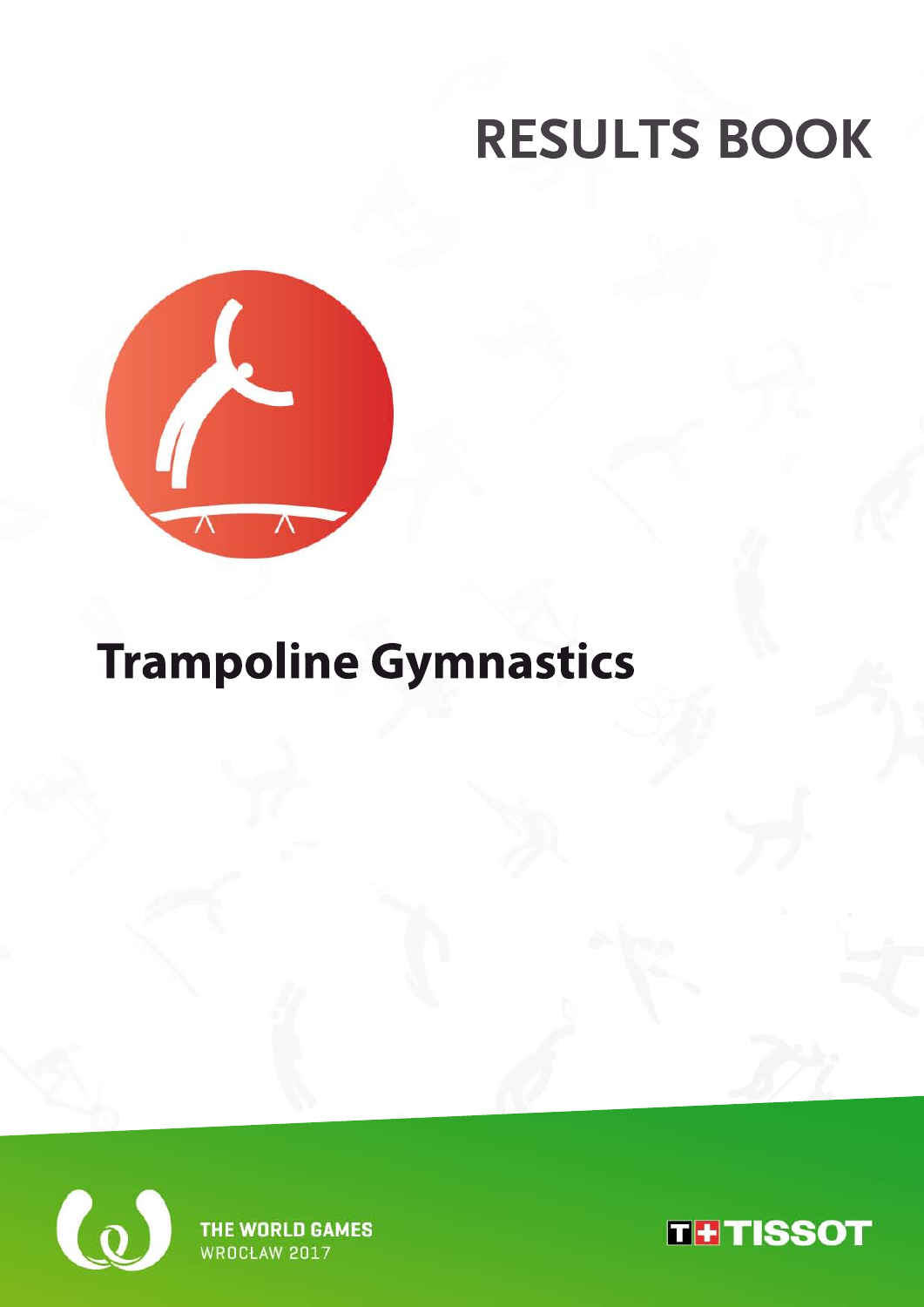

## **TrampolineGymnastics**



THE WORLD GAMES WROCŁAW 2017

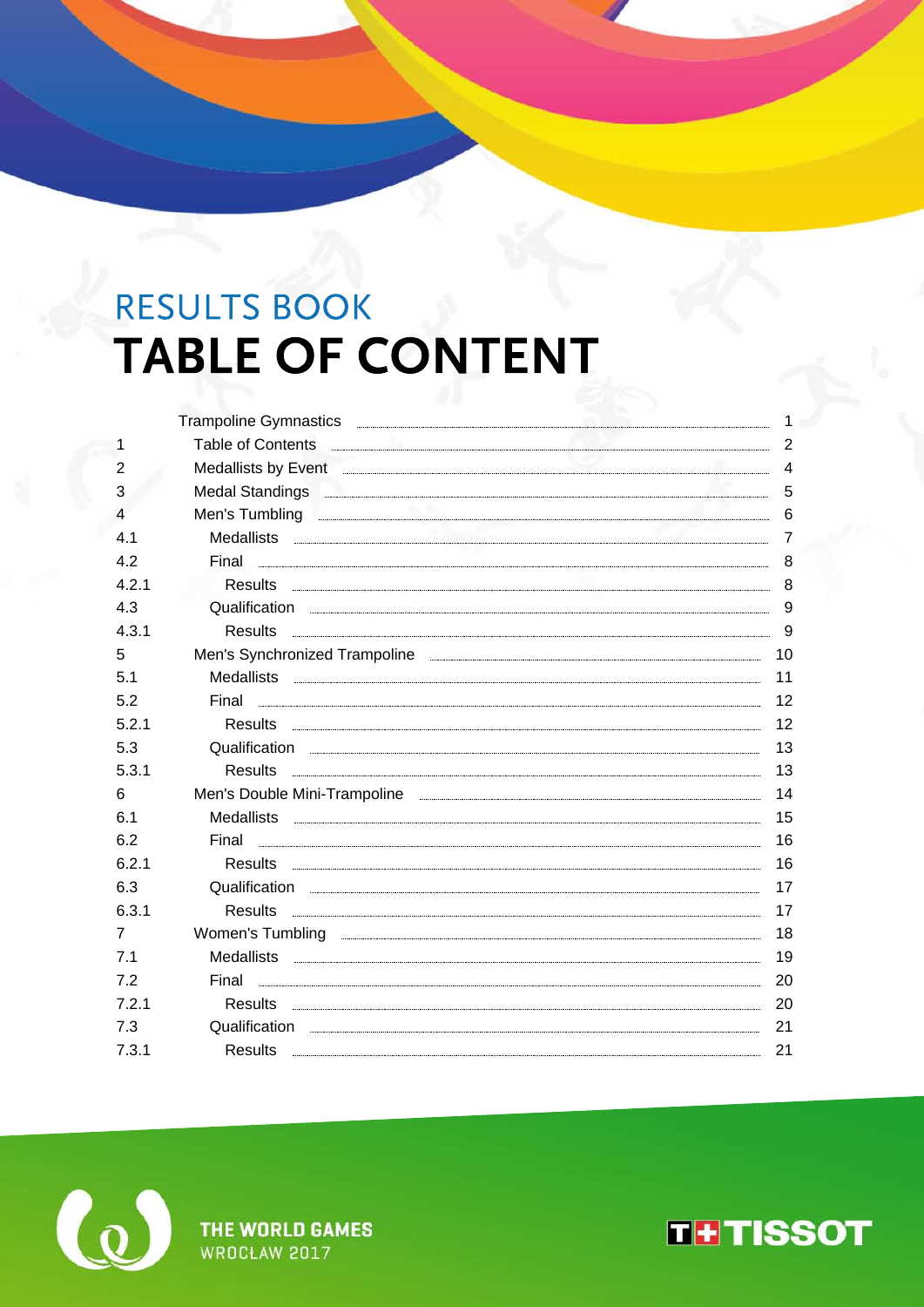## RESULTS BOOK **TABLE OF CONTENT**

|       | Trampoline Gymnastics                                                                                                                                                                                                                |  |
|-------|--------------------------------------------------------------------------------------------------------------------------------------------------------------------------------------------------------------------------------------|--|
| 1     | Table of Contents <b>Contents Contents Contents Contents Contents Contents Contents Contents Contents Contents Contents Contents Contents Contents Contents Contents Contents Contents Conte</b>                                     |  |
| 2     | Medallists by Event <b>Example 2018</b> Medallists by Event <b>Example 2018</b>                                                                                                                                                      |  |
| 3     | Medal Standings <b>contract to the contract of the contract of the contract of the contract of the contract of the contract of the contract of the contract of the contract of the contract of the contract of the contract of t</b> |  |
| 4     | Men's Tumbling <b>Contract the Contract of Contract Contract of Contract Contract Contract of Contract Contract Contract Contract Contract Contract Contract Contract Contract Contract Contract Contract Contract Contract Cont</b> |  |
| 41    | Medallists <b>Executive Contract Contract Contract Contract Contract Contract Contract Contract Contract Contract Contract Contract Contract Contract Contract Contract Contract Contract Contract Contract Contract Contract Co</b> |  |
| 4.2   |                                                                                                                                                                                                                                      |  |
| 4.2.1 |                                                                                                                                                                                                                                      |  |
| 4.3   | Qualification <b>contract the contract of the contract of the contract of the contract of the contract of the contract of the contract of the contract of the contract of the contract of the contract of the contract of the co</b> |  |
| 4.3.1 |                                                                                                                                                                                                                                      |  |
| 5     | Men's Synchronized Trampoline <b>contract to the contract of the contract of the contract of the contract of the contract of the contract of the contract of the contract of the contract of the contract of the contract of the</b> |  |
| 5.1   |                                                                                                                                                                                                                                      |  |
| 5.2   |                                                                                                                                                                                                                                      |  |
| 5.2.1 |                                                                                                                                                                                                                                      |  |
| 5.3   | Qualification <b>contract and all all of the contract of the contract of the contract of the contract of the contract of the contract of the contract of the contract of the contract of the contract of the contract of the con</b> |  |
| 5.3.1 |                                                                                                                                                                                                                                      |  |
| 6     |                                                                                                                                                                                                                                      |  |
| 6.1   |                                                                                                                                                                                                                                      |  |
| 6.2   |                                                                                                                                                                                                                                      |  |
| 6.2.1 |                                                                                                                                                                                                                                      |  |
| 6.3   | Qualification <b>contract the contract of the contract of the contract of the contract of the contract of the contract of the contract of the contract of the contract of the contract of the contract of the contract of the co</b> |  |
| 6.3.1 |                                                                                                                                                                                                                                      |  |
| 7     | Women's Tumbling <b>with a strategies of the contract of the strategies of the strategies of the strategies of the strategies of the strategies of the strategies of the strategies of the strategies of the strategies of the s</b> |  |
| 7.1   |                                                                                                                                                                                                                                      |  |
| 72    |                                                                                                                                                                                                                                      |  |
| 721   |                                                                                                                                                                                                                                      |  |
| 7.3   | Qualification <b>contract and all all of the contract of the contract of the contract of the contract of the contract of the contract of the contract of the contract of the contract of the contract of the contract of the con</b> |  |
| 7.3.1 | <b>Results</b>                                                                                                                                                                                                                       |  |
|       |                                                                                                                                                                                                                                      |  |



THE WORLD GAMES WROCŁAW 2017

**THTISSOT**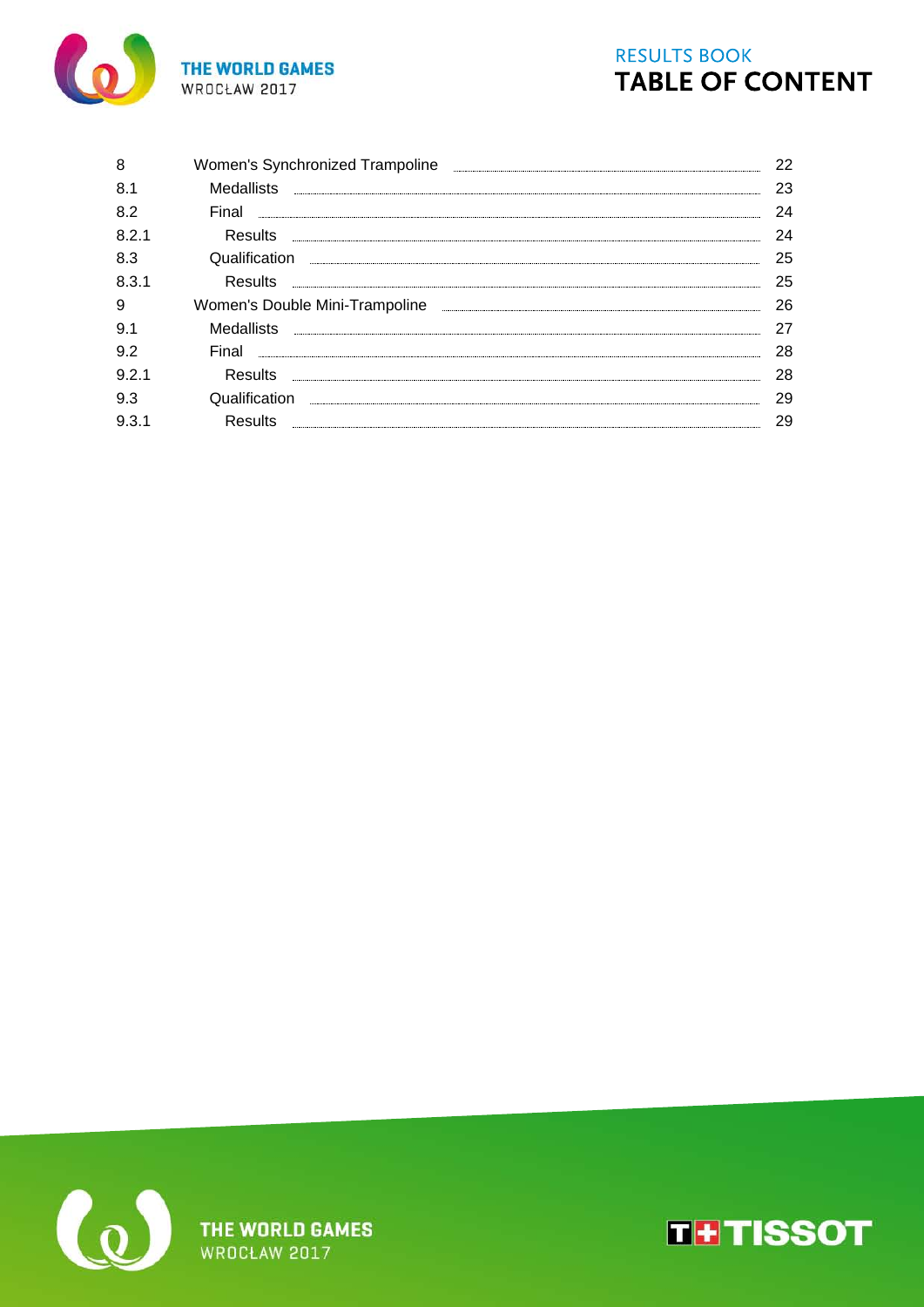

## **RESULTS BOOK TABLE OF CONTENT**

| 8     |                                                                                    | 22 |
|-------|------------------------------------------------------------------------------------|----|
| 8.1   | <b>Medallists</b>                                                                  | 23 |
| 8.2   | Final                                                                              | 24 |
| 8.2.1 | <b>Results</b>                                                                     | 24 |
| 8.3   | Qualification                                                                      | 25 |
| 8.3.1 | <b>Results</b>                                                                     | 25 |
| 9     | Women's Double Mini-Trampoline <b>contained a manufacture of the United States</b> | 26 |
| 9.1   | Medallists                                                                         | 27 |
| 9.2   | Final                                                                              | 28 |
| 9.2.1 | Results                                                                            | 28 |
| 9.3   | Qualification                                                                      | 29 |
| 9.3.1 | Results                                                                            | 29 |
|       |                                                                                    |    |



THE WORLD GAMES<br>WROCŁAW 2017

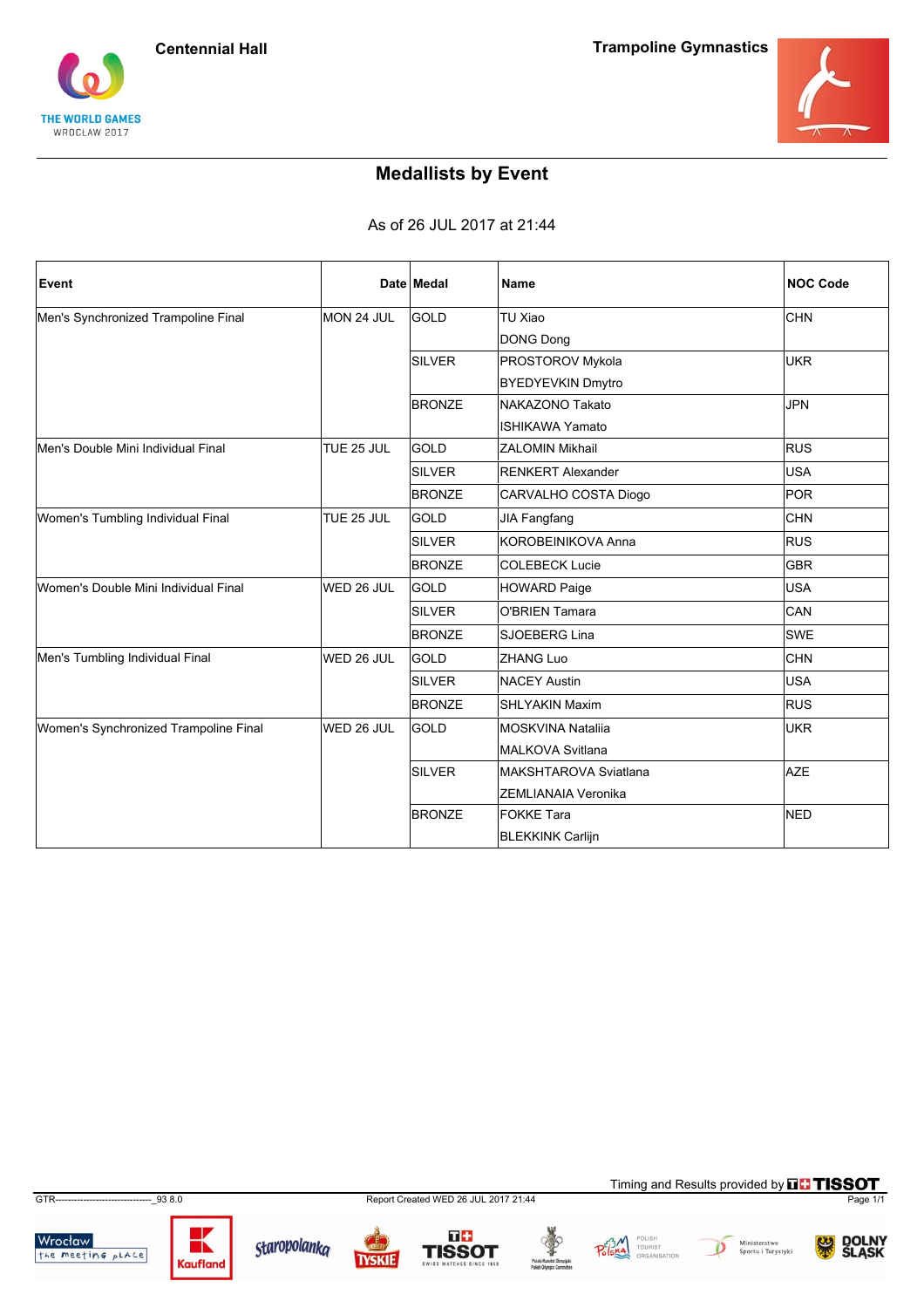



## **Medallists by Event**

As of 26 JUL 2017 at 21:44

| Event                                 |            | Date Medal    | <b>Name</b>                | <b>NOC Code</b> |
|---------------------------------------|------------|---------------|----------------------------|-----------------|
| Men's Synchronized Trampoline Final   | MON 24 JUL | GOLD          | TU Xiao                    | <b>CHN</b>      |
|                                       |            |               | DONG Dong                  |                 |
|                                       |            | <b>SILVER</b> | PROSTOROV Mykola           | <b>UKR</b>      |
|                                       |            |               | <b>BYEDYEVKIN Dmytro</b>   |                 |
|                                       |            | <b>BRONZE</b> | NAKAZONO Takato            | <b>JPN</b>      |
|                                       |            |               | <b>ISHIKAWA Yamato</b>     |                 |
| Men's Double Mini Individual Final    | TUE 25 JUL | GOLD          | <b>ZALOMIN Mikhail</b>     | <b>RUS</b>      |
|                                       |            | <b>SILVER</b> | <b>RENKERT Alexander</b>   | <b>USA</b>      |
|                                       |            | <b>BRONZE</b> | CARVALHO COSTA Diogo       | POR             |
| Women's Tumbling Individual Final     | TUE 25 JUL | <b>GOLD</b>   | <b>JIA Fangfang</b>        | <b>CHN</b>      |
|                                       |            | <b>SILVER</b> | KOROBEINIKOVA Anna         | <b>RUS</b>      |
|                                       |            | <b>BRONZE</b> | <b>COLEBECK Lucie</b>      | <b>GBR</b>      |
| Women's Double Mini Individual Final  | WED 26 JUL | <b>GOLD</b>   | HOWARD Paige               | <b>USA</b>      |
|                                       |            | <b>SILVER</b> | <b>O'BRIEN Tamara</b>      | CAN             |
|                                       |            | <b>BRONZE</b> | SJOEBERG Lina              | <b>SWE</b>      |
| Men's Tumbling Individual Final       | WED 26 JUL | <b>GOLD</b>   | <b>ZHANG Luo</b>           | <b>CHN</b>      |
|                                       |            | <b>SILVER</b> | NACEY Austin               | <b>USA</b>      |
|                                       |            | <b>BRONZE</b> | <b>SHLYAKIN Maxim</b>      | <b>RUS</b>      |
| Women's Synchronized Trampoline Final | WED 26 JUL | <b>GOLD</b>   | MOSKVINA Natalija          | <b>UKR</b>      |
|                                       |            |               | <b>MALKOVA Svitlana</b>    |                 |
|                                       |            | SILVER        | MAKSHTAROVA Sviatlana      | <b>AZE</b>      |
|                                       |            |               | <b>ZEMLIANAIA Veronika</b> |                 |
|                                       |            | <b>BRONZE</b> | <b>FOKKE Tara</b>          | <b>NED</b>      |
|                                       |            |               | <b>BLEKKINK Carlijn</b>    |                 |

GTR-------------------------------\_93 8.0 Report Created WED 26 JUL 2017 21:44 Page 1/1









Timing and Results provided by **THISSOT** 



Wrocław<br>the meeting place



Staropolanka

**TYSKIE** 





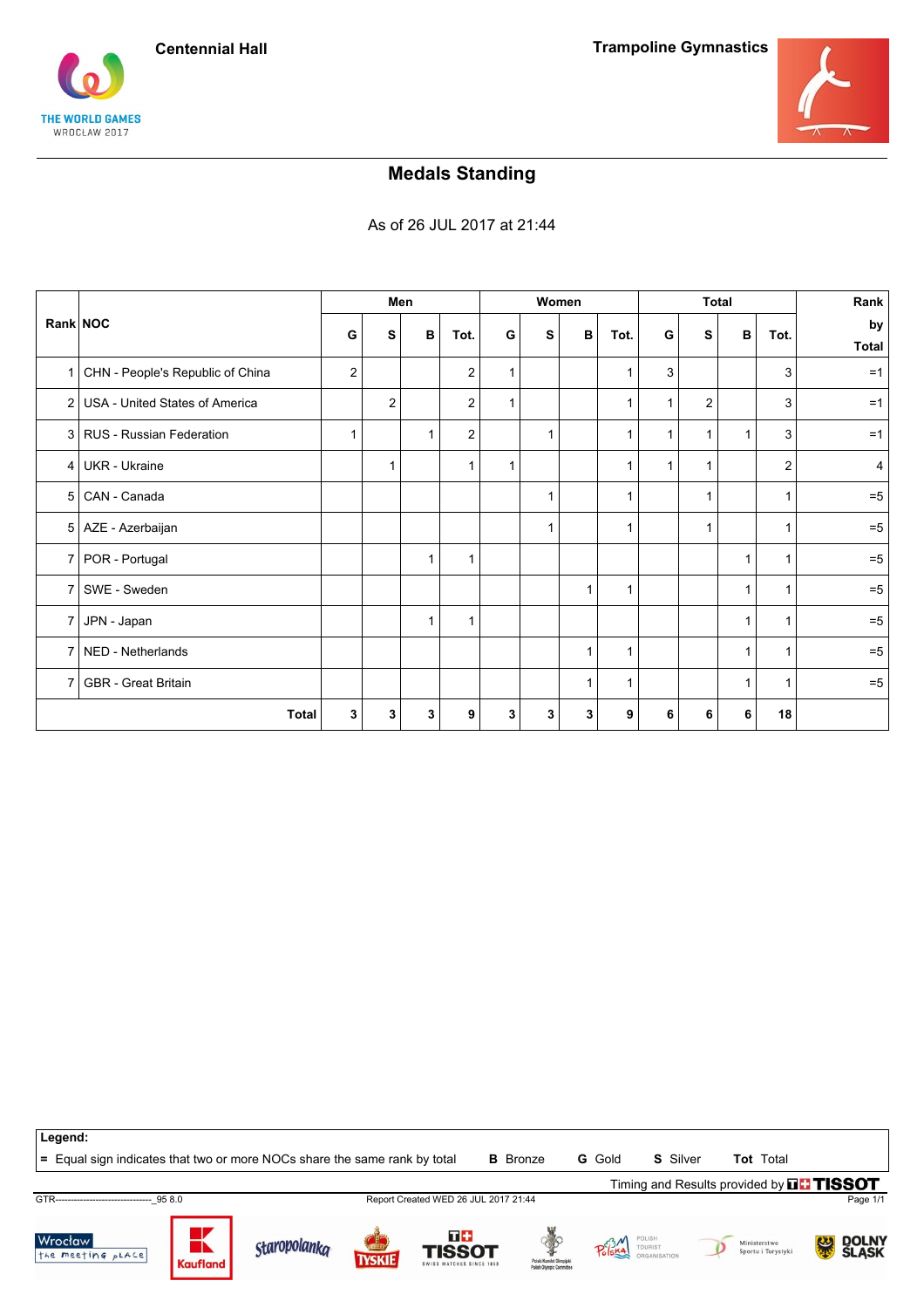





## **Medals Standing**

As of 26 JUL 2017 at 21:44

|                |                                    |   |                | Men          |                | Women |   |             |              |   | <b>Total</b> |   |                | Rank               |
|----------------|------------------------------------|---|----------------|--------------|----------------|-------|---|-------------|--------------|---|--------------|---|----------------|--------------------|
| Rank NOC       |                                    | G | s              | В            | Tot.           | G     | S | B           | Tot.         | G | S            | В | Tot.           | by<br><b>Total</b> |
|                | 1 CHN - People's Republic of China | 2 |                |              | 2              | 1     |   |             |              | 3 |              |   | 3              | $=1$               |
|                | 2 USA - United States of America   |   | $\overline{2}$ |              | $\overline{a}$ | 1     |   |             | $\mathbf{1}$ | 1 | 2            |   | 3              | $=1$               |
|                | 3 RUS - Russian Federation         | 1 |                | $\mathbf 1$  | 2              |       | 1 |             | 1            | 1 | 1            | 1 | 3              | $=1$               |
|                | 4   UKR - Ukraine                  |   | 1              |              | $\mathbf 1$    | 1     |   |             | 1            | 1 | 1            |   | $\overline{2}$ | 4                  |
|                | 5   CAN - Canada                   |   |                |              |                |       | 1 |             | 1            |   |              |   |                | $=5$               |
|                | 5   AZE - Azerbaijan               |   |                |              |                |       | 1 |             | 1            |   | 1            |   | 1              | $=5$               |
|                | 7   POR - Portugal                 |   |                | $\mathbf{1}$ | $\mathbf{1}$   |       |   |             |              |   |              | 1 | 1              | $=5$               |
|                | 7   SWE - Sweden                   |   |                |              |                |       |   | 1           | 1            |   |              | 1 | 1              | $=5$               |
| 7 I            | JPN - Japan                        |   |                | $\mathbf 1$  | $\mathbf{1}$   |       |   |             |              |   |              | 1 | $\mathbf{1}$   | $=5$               |
| 7 <sup>1</sup> | NED - Netherlands                  |   |                |              |                |       |   | $\mathbf 1$ | 1            |   |              |   |                | $=5$               |
| 7 <sup>1</sup> | <b>GBR</b> - Great Britain         |   |                |              |                |       |   | 1           | 1            |   |              | 1 | -1             | $=5$               |
|                | <b>Total</b>                       | 3 | 3              | 3            | 9              | 3     | 3 | 3           | 9            | 6 | 6            | 6 | 18             |                    |



**=** Equal sign indicates that two or more NOCs share the same rank by total **B** Bronze **G** Gold **S** Silver **Tot** Total

Timing and Results provided by **THISSOT** 

GTR-------------------------------\_95 8.0 Report Created WED 26 JUL 2017 21:44 Page 1/1

**Wrocław** the meeting pLACE













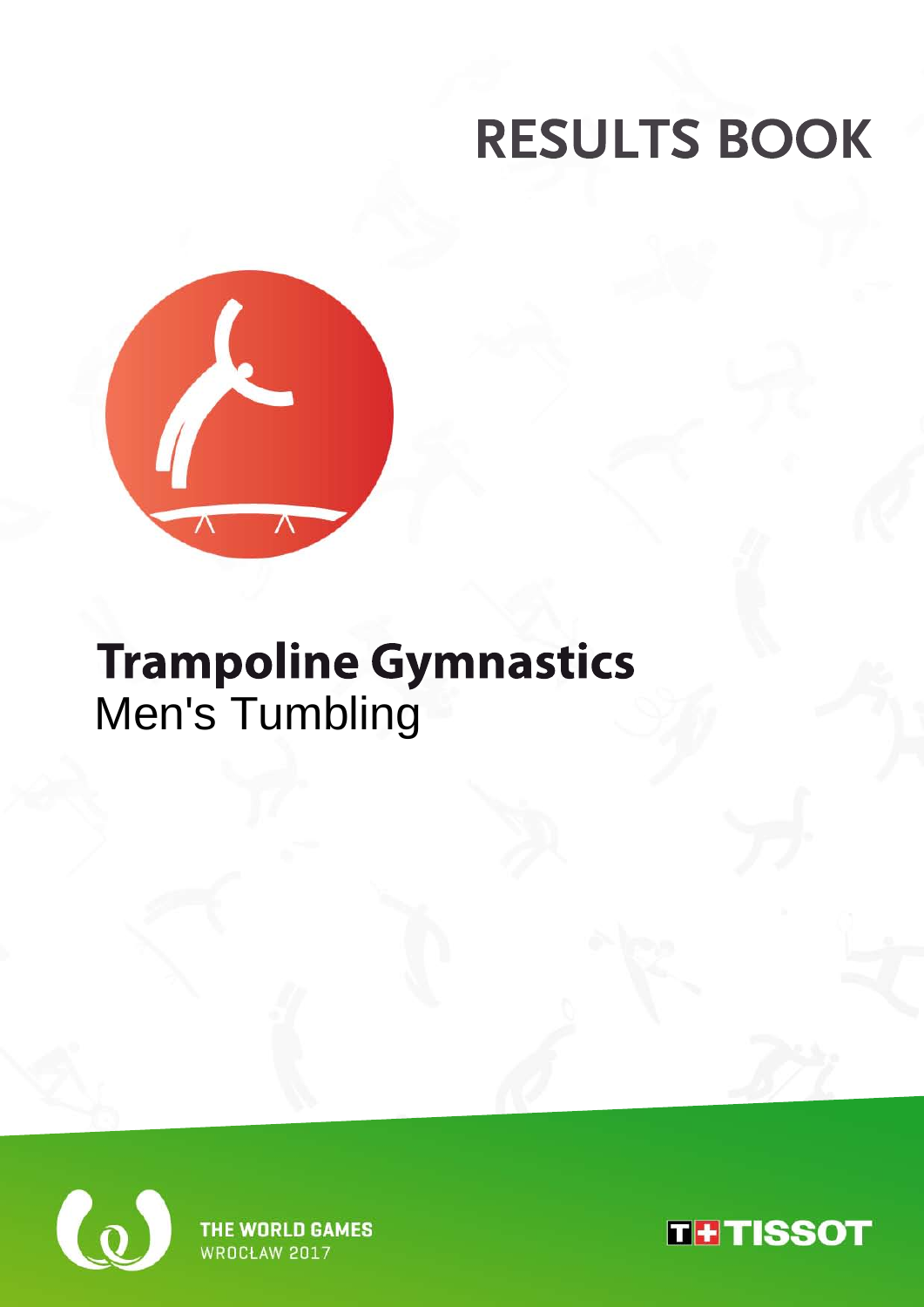

## **Trampoline Gymnastics** Men's Tumbling



THE WORLD GAMES **WROCŁAW 2017** 

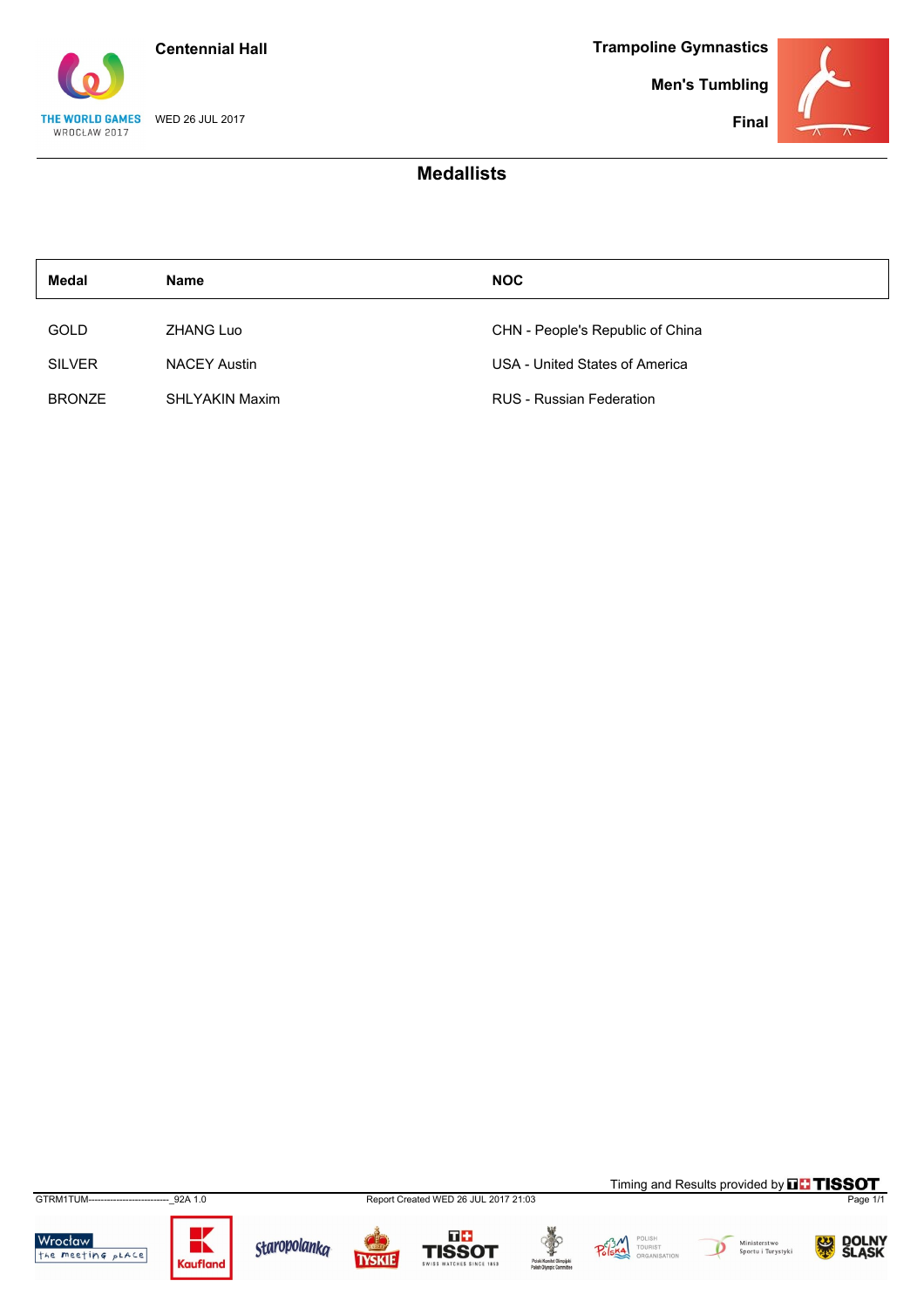

**Men's Tumbling**



### **Medallists**

| <b>Medal</b>  | <b>Name</b>           | <b>NOC</b>                       |
|---------------|-----------------------|----------------------------------|
| GOLD          | ZHANG Luo             | CHN - People's Republic of China |
| <b>SILVER</b> | <b>NACEY Austin</b>   | USA - United States of America   |
| <b>BRONZE</b> | <b>SHLYAKIN Maxim</b> | <b>RUS</b> - Russian Federation  |

Wrocław<br>the meeting place



Staropolanka

GTRM1TUM--------------------------\_92A 1.0 Report Created WED 26 JUL 2017 21:03 Page 1/1

**TYSKIE** 

 $\overline{a}$ 







.<br>Ministerstwo<br>Sportu i Turystyki  $\overline{\mathcal{D}}$ 

Timing and Results provided by **THISSOT** 

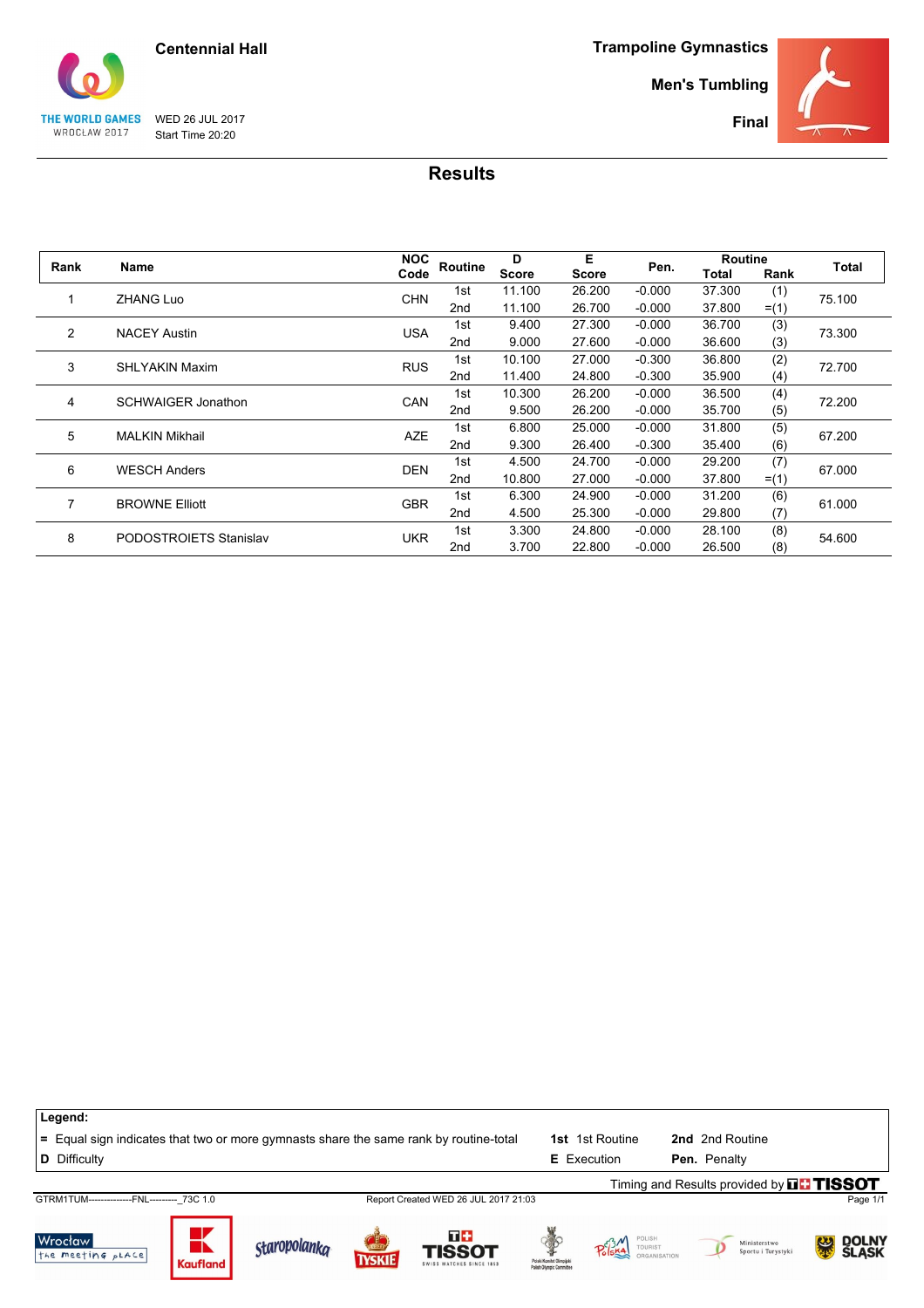

**Men's Tumbling**



THE WORLD GAMES WED 26 JUL 2017<br>WROCŁAW 2017 Start Time 20:20 Start Time 20:20

| Rank | <b>Name</b>               | <b>NOC</b> | Routine         | D            | Е      | Pen.     | <b>Routine</b> |         | Total  |  |
|------|---------------------------|------------|-----------------|--------------|--------|----------|----------------|---------|--------|--|
|      |                           | Code       |                 | <b>Score</b> | Score  |          | Total          | Rank    |        |  |
|      | <b>ZHANG Luo</b>          | <b>CHN</b> | 1st             | 11.100       | 26.200 | $-0.000$ | 37.300         | (1)     | 75.100 |  |
|      |                           |            | 2nd             | 11.100       | 26.700 | $-0.000$ | 37.800         | $=$ (1) |        |  |
| 2    | <b>NACEY Austin</b>       | <b>USA</b> | 1st             | 9.400        | 27.300 | $-0.000$ | 36.700         | (3)     | 73.300 |  |
|      |                           |            | 2nd             | 9.000        | 27.600 | $-0.000$ | 36.600         | (3)     |        |  |
| 3    | <b>SHLYAKIN Maxim</b>     | <b>RUS</b> | 1st             | 10.100       | 27.000 | $-0.300$ | 36.800         | (2)     | 72.700 |  |
|      |                           |            | 2nd             | 11.400       | 24.800 | $-0.300$ | 35.900         | (4)     |        |  |
| 4    | <b>SCHWAIGER Jonathon</b> | CAN        | 1st             | 10.300       | 26.200 | $-0.000$ | 36.500         | (4)     | 72.200 |  |
|      |                           |            | 2 <sub>nd</sub> | 9.500        | 26.200 | $-0.000$ | 35.700         | (5)     |        |  |
| 5    | <b>MALKIN Mikhail</b>     | <b>AZE</b> | 1st             | 6.800        | 25.000 | $-0.000$ | 31.800         | (5)     | 67.200 |  |
|      |                           |            | 2nd             | 9.300        | 26.400 | $-0.300$ | 35.400         | (6)     |        |  |
| 6    | <b>WESCH Anders</b>       | <b>DEN</b> | 1st             | 4.500        | 24.700 | $-0.000$ | 29.200         | (7)     | 67.000 |  |
|      |                           |            | 2 <sub>nd</sub> | 10.800       | 27.000 | $-0.000$ | 37.800         | $=$ (1) |        |  |
| 7    | <b>BROWNE Elliott</b>     | <b>GBR</b> | 1st             | 6.300        | 24.900 | $-0.000$ | 31.200         | (6)     |        |  |
|      |                           |            | 2 <sub>nd</sub> | 4.500        | 25.300 | $-0.000$ | 29.800         | (7)     | 61.000 |  |
| 8    | PODOSTROIETS Stanislav    | <b>UKR</b> | 1st             | 3.300        | 24.800 | $-0.000$ | 28.100         | (8)     | 54.600 |  |
|      |                           |            | 2nd             | 3.700        | 22.800 | $-0.000$ | 26.500         | (8)     |        |  |

| Legend:                                                                               |                 |                     |              |                                                 |                                                       |                        |                                                  |              |
|---------------------------------------------------------------------------------------|-----------------|---------------------|--------------|-------------------------------------------------|-------------------------------------------------------|------------------------|--------------------------------------------------|--------------|
| = Equal sign indicates that two or more gymnasts share the same rank by routine-total |                 |                     |              |                                                 |                                                       | <b>1st</b> 1st Routine | 2nd 2nd Routine                                  |              |
| <b>D</b> Difficulty                                                                   |                 |                     |              |                                                 |                                                       | <b>E</b> Execution     | Pen. Penalty                                     |              |
|                                                                                       |                 |                     |              |                                                 |                                                       |                        | Timing and Results provided by <b>THE TISSOT</b> |              |
| GTRM1TUM--------------FNL--------- 73C 1.0                                            |                 |                     |              | Report Created WED 26 JUL 2017 21:03            |                                                       |                        |                                                  | Page 1/1     |
| Wrocław<br>the meeting pLACE                                                          | <b>Kaufland</b> | <b>Staropolanka</b> | <b>TYSKI</b> | T+<br><b>TISSOT</b><br>SWISS WATCHES SINCE 1853 | Polski Komitet Olimpijski<br>Polish Olympic Committee | POLISH<br>TOURIST      | Ministerstwo<br>Sportu i Turystyki               | <b>SLASK</b> |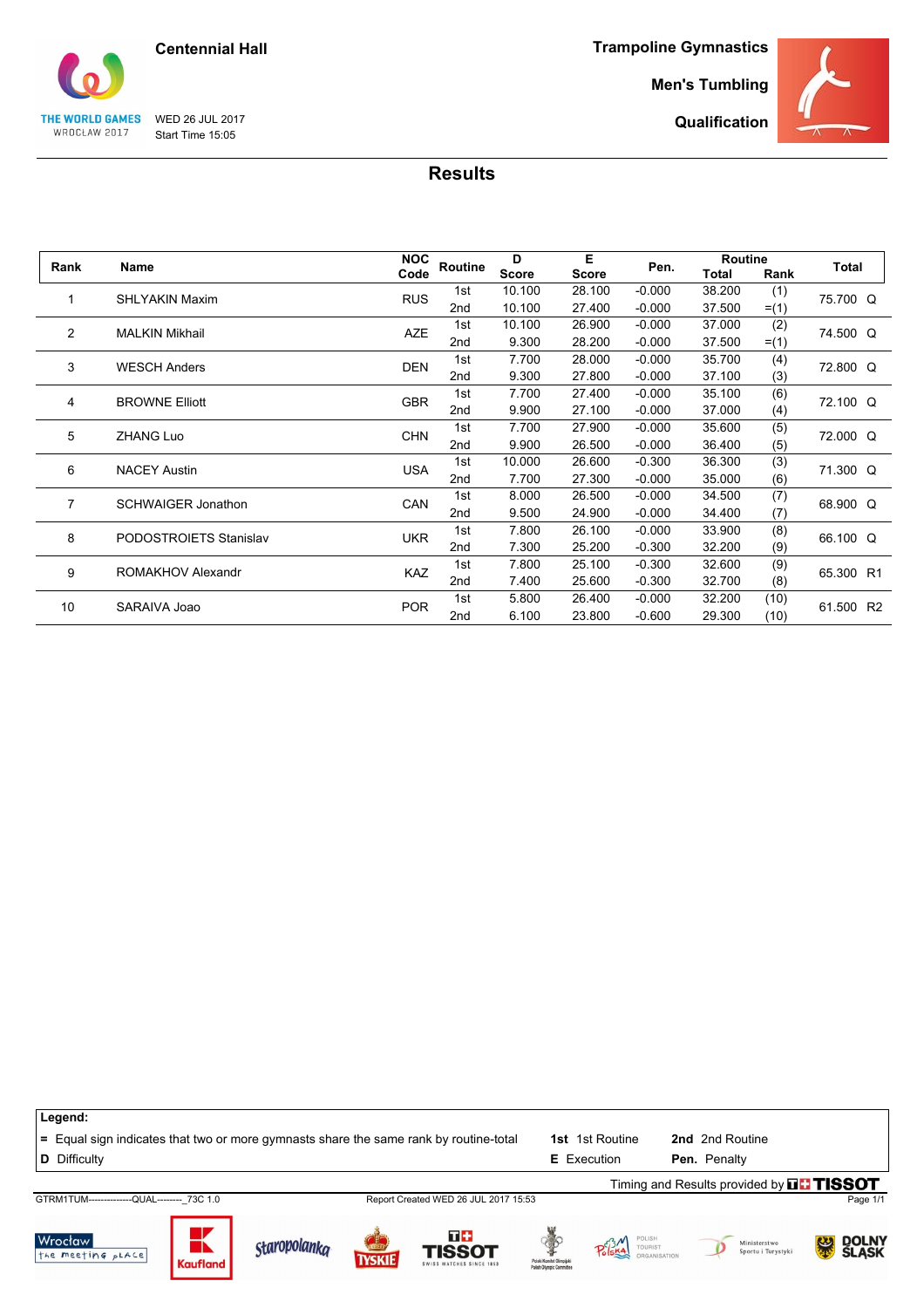

WED 26 JUL 2017 Start Time 15:05

THE WORLD GAMES WROCŁAW 2017

**Trampoline Gymnastics**

**Men's Tumbling**

**Qualification**



#### **Results**

|                |                           | <b>NOC</b> |                 | D            | Е      |          | <b>Routine</b> |         | Total     |  |
|----------------|---------------------------|------------|-----------------|--------------|--------|----------|----------------|---------|-----------|--|
| Rank           | Name                      | Code       | Routine         | <b>Score</b> | Score  | Pen.     | Total          | Rank    |           |  |
|                | <b>SHLYAKIN Maxim</b>     | <b>RUS</b> | 1st             | 10.100       | 28.100 | $-0.000$ | 38.200         | (1)     | 75.700 Q  |  |
|                |                           |            | 2 <sub>nd</sub> | 10.100       | 27.400 | $-0.000$ | 37.500         | $=$ (1) |           |  |
| $\overline{2}$ | <b>MALKIN Mikhail</b>     | <b>AZE</b> | 1st             | 10.100       | 26.900 | $-0.000$ | 37.000         | (2)     |           |  |
|                |                           |            | 2nd             | 9.300        | 28.200 | $-0.000$ | 37.500         | $=$ (1) | 74.500 Q  |  |
| 3              | <b>WESCH Anders</b>       | <b>DEN</b> | 1st             | 7.700        | 28.000 | $-0.000$ | 35.700         | (4)     | 72.800 Q  |  |
|                |                           |            | 2 <sub>nd</sub> | 9.300        | 27.800 | $-0.000$ | 37.100         | (3)     |           |  |
| 4              | <b>BROWNE Elliott</b>     | <b>GBR</b> | 1st             | 7.700        | 27.400 | $-0.000$ | 35.100         | (6)     | 72.100 Q  |  |
|                |                           |            | 2 <sub>nd</sub> | 9.900        | 27.100 | $-0.000$ | 37.000         | (4)     |           |  |
|                | <b>ZHANG Luo</b>          | <b>CHN</b> | 1st             | 7.700        | 27.900 | $-0.000$ | 35.600         | (5)     | 72.000 Q  |  |
|                | 5                         |            | 2nd             | 9.900        | 26.500 | $-0.000$ | 36.400         | (5)     |           |  |
| 6              | <b>NACEY Austin</b>       | <b>USA</b> | 1st             | 10.000       | 26.600 | $-0.300$ | 36.300         | (3)     | 71.300 Q  |  |
|                |                           |            | 2 <sub>nd</sub> | 7.700        | 27.300 | $-0.000$ | 35.000         | (6)     |           |  |
| 7              | <b>SCHWAIGER Jonathon</b> | CAN        | 1st             | 8.000        | 26.500 | $-0.000$ | 34.500         | (7)     | 68.900 Q  |  |
|                |                           |            | 2 <sub>nd</sub> | 9.500        | 24.900 | $-0.000$ | 34.400         | (7)     |           |  |
| 8              | PODOSTROIETS Stanislav    | <b>UKR</b> | 1st             | 7.800        | 26.100 | $-0.000$ | 33.900         | (8)     | 66.100 Q  |  |
|                |                           |            | 2 <sub>nd</sub> | 7.300        | 25.200 | $-0.300$ | 32.200         | (9)     |           |  |
| 9              | ROMAKHOV Alexandr         | <b>KAZ</b> | 1st             | 7.800        | 25.100 | $-0.300$ | 32.600         | (9)     | 65.300 R1 |  |
|                |                           |            | 2 <sub>nd</sub> | 7.400        | 25.600 | $-0.300$ | 32.700         | (8)     |           |  |
| 10             | SARAIVA Joao              | <b>POR</b> | 1st             | 5.800        | 26.400 | $-0.000$ | 32.200         | (10)    | 61.500 R2 |  |
|                |                           |            | 2 <sub>nd</sub> | 6.100        | 23.800 | $-0.600$ | 29.300         | (10)    |           |  |

| Legend:                                                                               |                      |                     |               |                                                  |                                                      |                    |                 |                                    |                                               |
|---------------------------------------------------------------------------------------|----------------------|---------------------|---------------|--------------------------------------------------|------------------------------------------------------|--------------------|-----------------|------------------------------------|-----------------------------------------------|
| = Equal sign indicates that two or more gymnasts share the same rank by routine-total |                      |                     |               |                                                  | 1st                                                  | 1st Routine        | 2nd 2nd Routine |                                    |                                               |
| D Difficulty                                                                          |                      |                     |               |                                                  |                                                      | <b>E</b> Execution | Pen. Penalty    |                                    |                                               |
|                                                                                       |                      |                     |               |                                                  |                                                      |                    |                 |                                    | Timing and Results provided by <b>THISSOT</b> |
| GTRM1TUM---------------QUAL-------- 73C 1.0                                           |                      |                     |               | Report Created WED 26 JUL 2017 15:53             |                                                      |                    |                 |                                    | Page 1/1                                      |
| Wrocław<br>the meeting pLACE                                                          | ┻<br><b>Kaufland</b> | <b>Staropolanka</b> | <b>TYSKIE</b> | T +<br><b>TISSOT</b><br>SWISS WATCHES SINCE 1853 | Polski Komitet Olimpiisk<br>Polish Olympic Committee | TOURIST            |                 | Ministerstwo<br>Sportu i Turystyki | <b>SLASK</b><br>SLASK                         |

Kaufland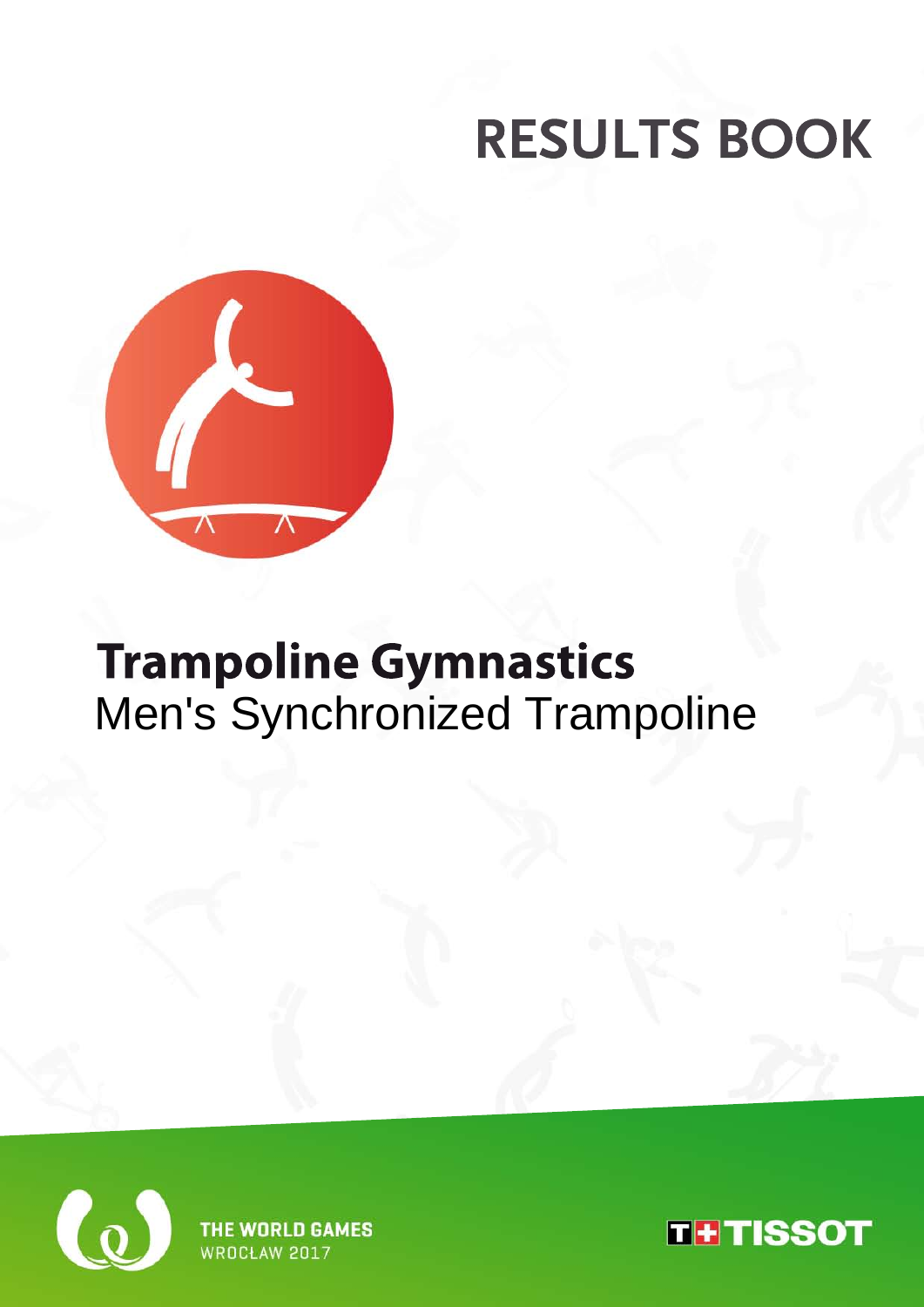

## **Trampoline Gymnastics** Men's Synchronized Trampoline



**WORLD GAMES WROCH AW 2017** 

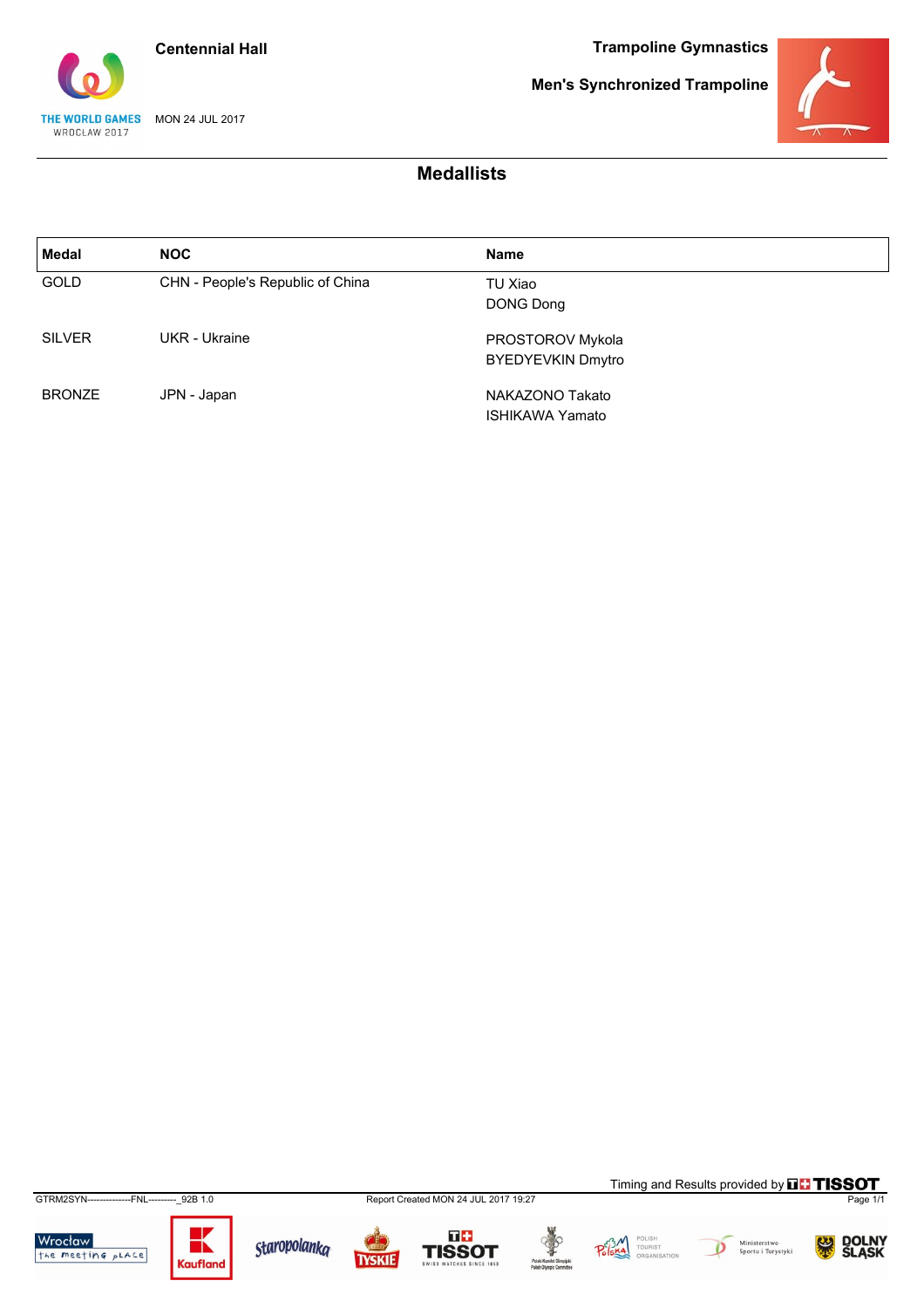



**Men's Synchronized Trampoline**



### **Medallists**

| Medal         | <b>NOC</b>                       | <b>Name</b>                 |
|---------------|----------------------------------|-----------------------------|
| <b>GOLD</b>   | CHN - People's Republic of China | TU Xiao<br><b>DONG Dong</b> |
| <b>SILVER</b> | UKR - Ukraine                    | PROSTOROV Mykola            |
|               |                                  | <b>BYEDYEVKIN Dmytro</b>    |
| <b>BRONZE</b> | JPN - Japan                      | NAKAZONO Takato             |
|               |                                  | <b>ISHIKAWA Yamato</b>      |

GTRM2SYN--------------FNL---------\_92B 1.0 Report Created MON 24 JUL 2017 19:27 Page 1/1

Wrocław<br>the meeting place



Staropolanka

**TYSKIE** 

 $\overline{a}$ 









Timing and Results provided by **THISSOT** 

DOLNY<br>ŚLASK 熙

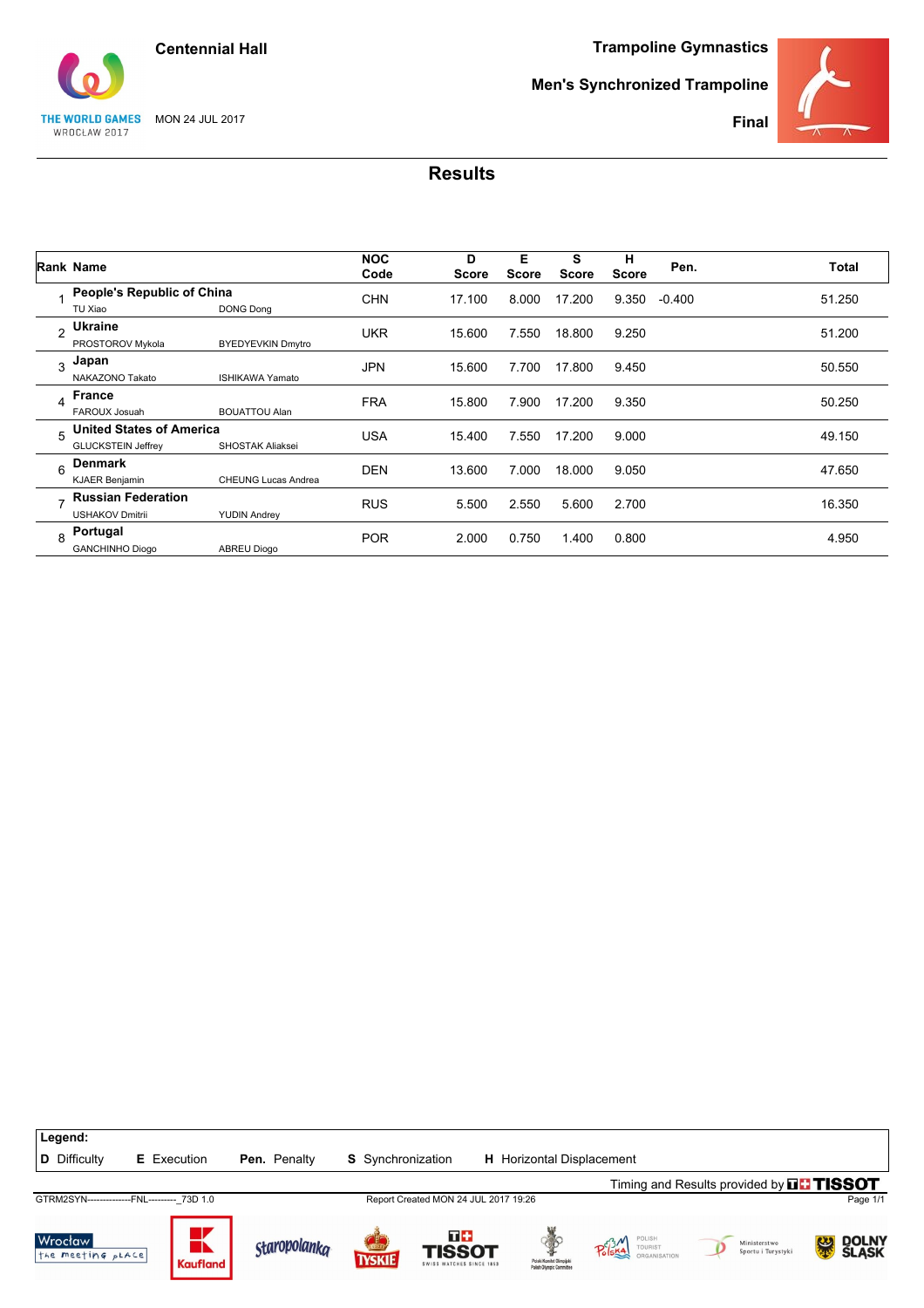



**Men's Synchronized Trampoline**



**Final**

|                | <b>Rank Name</b>                                             |                            | <b>NOC</b><br>Code | D<br><b>Score</b> | Е<br><b>Score</b> | s<br><b>Score</b> | н<br><b>Score</b> | Pen.     | Total  |
|----------------|--------------------------------------------------------------|----------------------------|--------------------|-------------------|-------------------|-------------------|-------------------|----------|--------|
|                | People's Republic of China<br>TU Xiao                        | <b>DONG Dong</b>           | <b>CHN</b>         | 17.100            | 8.000             | 17.200            | 9.350             | $-0.400$ | 51.250 |
| $\mathfrak{p}$ | <b>Ukraine</b><br>PROSTOROV Mykola                           | <b>BYEDYEVKIN Dmytro</b>   | <b>UKR</b>         | 15.600            | 7.550             | 18.800            | 9.250             |          | 51.200 |
| 3              | Japan<br>NAKAZONO Takato                                     | <b>ISHIKAWA Yamato</b>     | <b>JPN</b>         | 15.600            | 7.700             | 17.800            | 9.450             |          | 50.550 |
| 4              | <b>France</b><br>FAROUX Josuah                               | <b>BOUATTOU Alan</b>       | <b>FRA</b>         | 15.800            | 7.900             | 17.200            | 9.350             |          | 50.250 |
| 5              | <b>United States of America</b><br><b>GLUCKSTEIN Jeffrey</b> | <b>SHOSTAK Aliaksei</b>    | <b>USA</b>         | 15.400            | 7.550             | 17.200            | 9.000             |          | 49.150 |
| 6              | Denmark<br><b>KJAER Benjamin</b>                             | <b>CHEUNG Lucas Andrea</b> | <b>DEN</b>         | 13.600            | 7.000             | 18.000            | 9.050             |          | 47.650 |
| -              | <b>Russian Federation</b><br><b>USHAKOV Dmitrii</b>          | <b>YUDIN Andrey</b>        | <b>RUS</b>         | 5.500             | 2.550             | 5.600             | 2.700             |          | 16.350 |
| 8              | Portugal<br><b>GANCHINHO Diogo</b>                           | <b>ABREU Diogo</b>         | <b>POR</b>         | 2.000             | 0.750             | 1.400             | 0.800             |          | 4.950  |

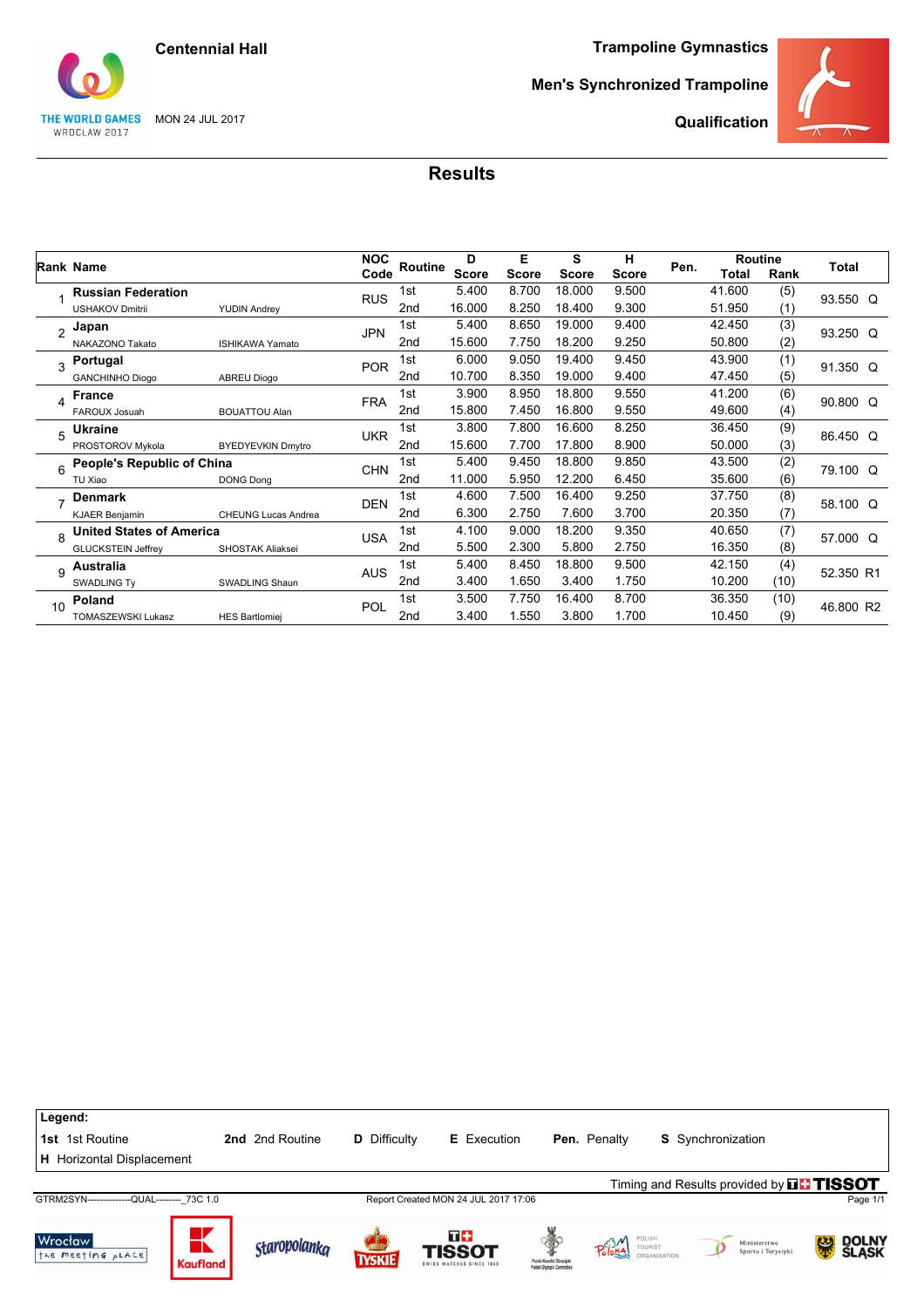**Centennial Hall**

**Trampoline Gymnastics**

## THE WORLD GAMES MON 24 JUL 2017 WROCŁAW 2017

**Men's Synchronized Trampoline**



**Qualification**

|                |                                 |                            | <b>NOC</b> | D               |              | Е            | S            | н            |      | <b>Routine</b> |      |           |
|----------------|---------------------------------|----------------------------|------------|-----------------|--------------|--------------|--------------|--------------|------|----------------|------|-----------|
|                | <b>Rank Name</b>                |                            | Code       | Routine         | <b>Score</b> | <b>Score</b> | <b>Score</b> | <b>Score</b> | Pen. | <b>Total</b>   | Rank | Total     |
|                | <b>Russian Federation</b>       |                            | <b>RUS</b> | 1st             | 5.400        | 8.700        | 18.000       | 9.500        |      | 41.600         | (5)  | 93.550 Q  |
|                | <b>USHAKOV Dmitrii</b>          | <b>YUDIN Andrey</b>        |            | 2 <sub>nd</sub> | 16.000       | 8.250        | 18.400       | 9.300        |      | 51.950         | (1)  |           |
| $\mathfrak{p}$ | Japan                           |                            | <b>JPN</b> | 1st             | 5.400        | 8.650        | 19.000       | 9.400        |      | 42.450         | (3)  | 93.250 Q  |
|                | NAKAZONO Takato                 | <b>ISHIKAWA Yamato</b>     |            | 2nd             | 15.600       | 7.750        | 18.200       | 9.250        |      | 50.800         | (2)  |           |
| 3              | Portugal                        |                            | <b>POR</b> | 1st             | 6.000        | 9.050        | 19.400       | 9.450        |      | 43.900         | (1)  | 91.350 Q  |
|                | <b>GANCHINHO Diogo</b>          | <b>ABREU Diogo</b>         |            | 2 <sub>nd</sub> | 10.700       | 8.350        | 19.000       | 9.400        |      | 47.450         | (5)  |           |
| 4              | France                          |                            | <b>FRA</b> | 1st             | 3.900        | 8.950        | 18.800       | 9.550        |      | 41.200         | (6)  | 90.800 Q  |
|                | FAROUX Josuah                   | <b>BOUATTOU Alan</b>       |            | 2 <sub>nd</sub> | 15.800       | 7.450        | 16.800       | 9.550        |      | 49.600         | (4)  |           |
| 5              | <b>Ukraine</b>                  |                            | <b>UKR</b> | 1st             | 3.800        | 7.800        | 16.600       | 8.250        |      | 36.450         | (9)  | 86.450 Q  |
|                | PROSTOROV Mykola                | <b>BYEDYEVKIN Dmytro</b>   |            | 2 <sub>nd</sub> | 15.600       | 7.700        | 17.800       | 8.900        |      | 50.000         | (3)  |           |
| 6              | People's Republic of China      |                            | <b>CHN</b> | 1st             | 5.400        | 9.450        | 18.800       | 9.850        |      | 43.500         | (2)  | 79.100 Q  |
|                | TU Xiao                         | <b>DONG Dong</b>           |            | 2nd             | 11.000       | 5.950        | 12.200       | 6.450        |      | 35.600         | (6)  |           |
| $\overline{ }$ | <b>Denmark</b>                  |                            | <b>DEN</b> | 1st             | 4.600        | 7.500        | 16.400       | 9.250        |      | 37.750         | (8)  | 58.100 Q  |
|                | <b>KJAER Benjamin</b>           | <b>CHEUNG Lucas Andrea</b> |            | 2 <sub>nd</sub> | 6.300        | 2.750        | 7.600        | 3.700        |      | 20.350         | (7)  |           |
| $\mathsf{R}$   | <b>United States of America</b> |                            | <b>USA</b> | 1st             | 4.100        | 9.000        | 18.200       | 9.350        |      | 40.650         | (7)  | 57.000 Q  |
|                | <b>GLUCKSTEIN Jeffrey</b>       | <b>SHOSTAK Aliaksei</b>    |            | 2nd             | 5.500        | 2.300        | 5.800        | 2.750        |      | 16.350         | (8)  |           |
| $\mathsf{Q}$   | Australia                       |                            | <b>AUS</b> | 1st             | 5.400        | 8.450        | 18.800       | 9.500        |      | 42.150         | (4)  | 52.350 R1 |
|                | <b>SWADLING Ty</b>              | <b>SWADLING Shaun</b>      |            | 2 <sub>nd</sub> | 3.400        | 1.650        | 3.400        | 1.750        |      | 10.200         | (10) |           |
| 10             | Poland                          |                            | POL        | 1st             | 3.500        | 7.750        | 16.400       | 8.700        |      | 36.350         | (10) | 46.800 R2 |
|                | <b>TOMASZEWSKI Lukasz</b>       | <b>HES Bartlomiej</b>      |            | 2 <sub>nd</sub> | 3.400        | 1.550        | 3.800        | 1.700        |      | 10.450         | (9)  |           |

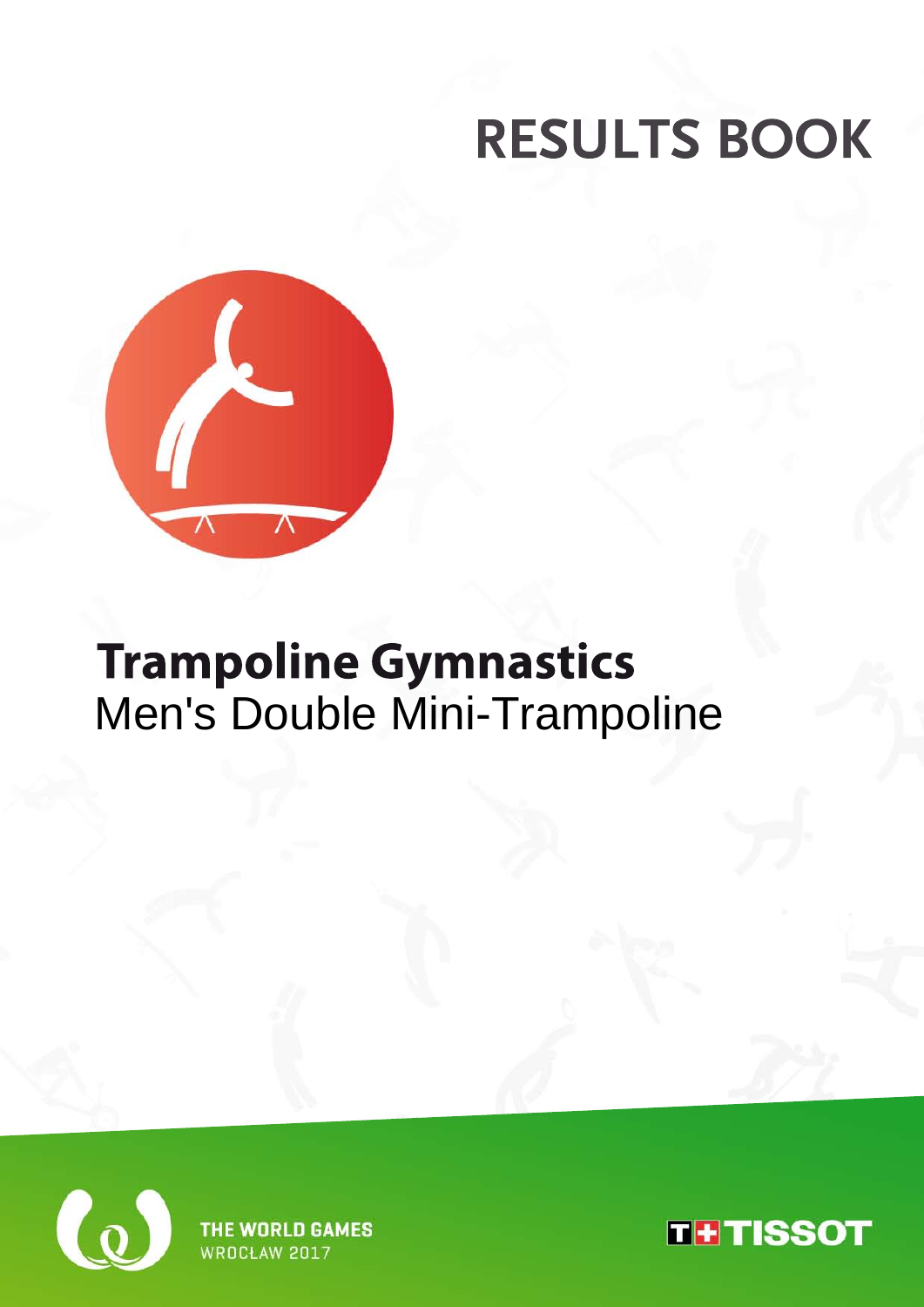

## **Trampoline Gymnastics** Men's Double Mini-Trampoline



**WORLD GAMES WROCH AW 2017** 

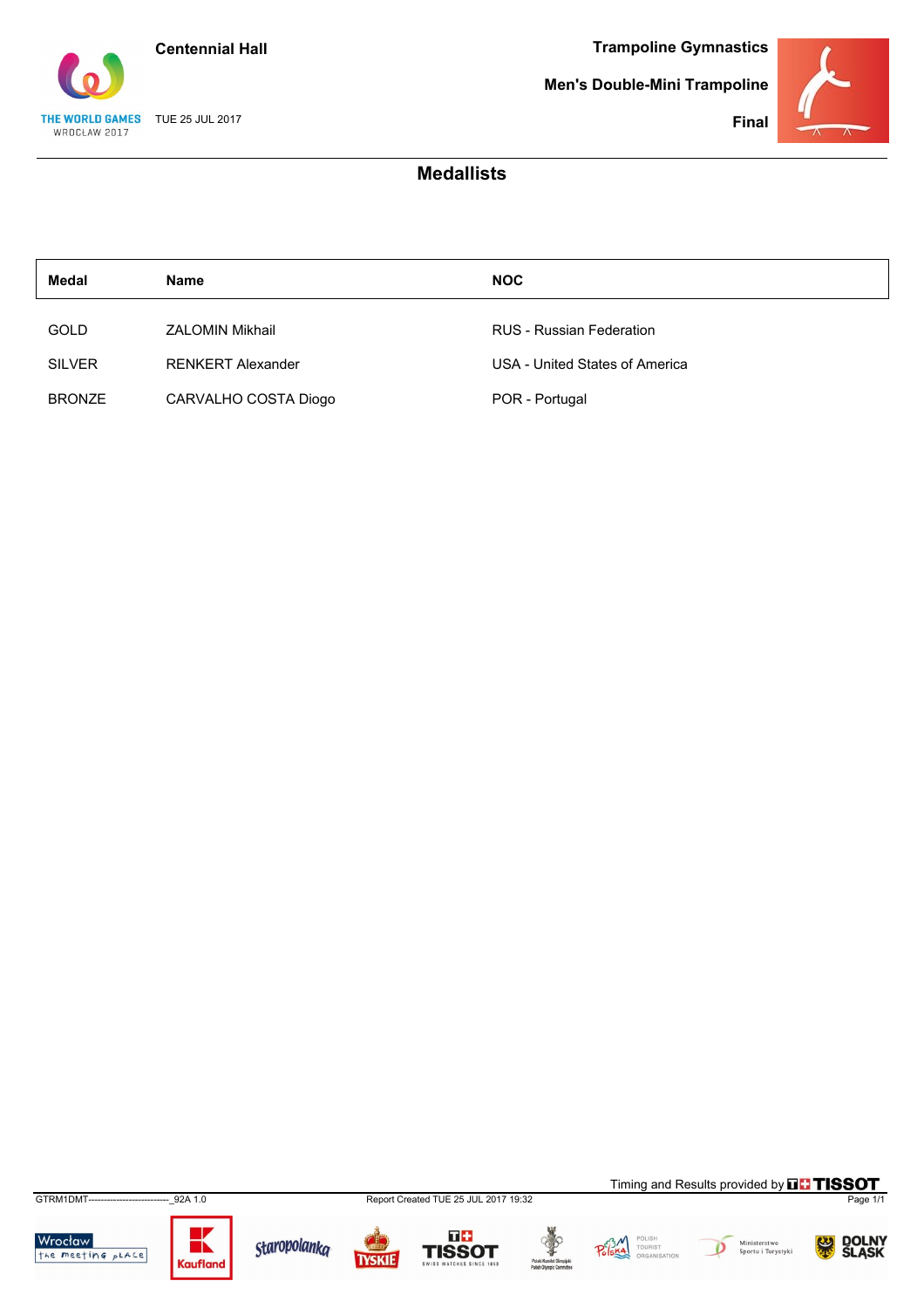

THE WORLD GAMES TUE 25 JUL 2017

WROCŁAW 2017

**Trampoline Gymnastics**

**Men's Double-Mini Trampoline**



**Final**

| Medal         | Name                     | <b>NOC</b>                      |
|---------------|--------------------------|---------------------------------|
| GOLD          | <b>ZALOMIN Mikhail</b>   | <b>RUS</b> - Russian Federation |
| <b>SILVER</b> | <b>RENKERT Alexander</b> | USA - United States of America  |
| <b>BRONZE</b> | CARVALHO COSTA Diogo     | POR - Portugal                  |

**Medallists**

GTRM1DMT--------------------------\_92A 1.0 Report Created TUE 25 JUL 2017 19:32 Page 1/1



















Timing and Results provided by **THISSOT** 

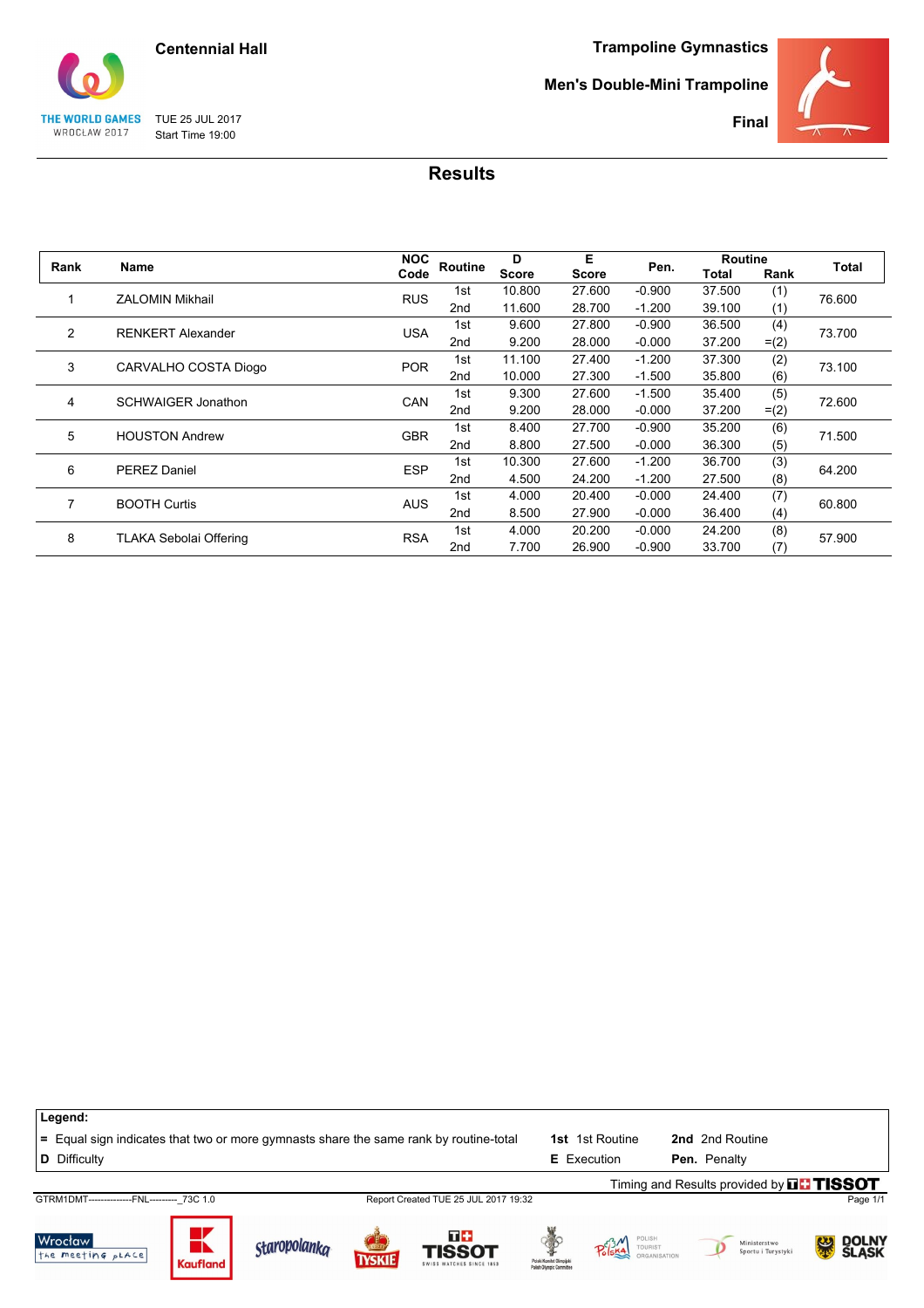

#### **Men's Double-Mini Trampoline**



**Final**

THE WORLD GAMES TUE 25 JUL 2017 Start Time 19:00

WROCŁAW 2017

| Rank           | Name                          | <b>NOC</b> | <b>Routine</b>  | D            | Е      | Pen.     | <b>Routine</b> |         | Total  |
|----------------|-------------------------------|------------|-----------------|--------------|--------|----------|----------------|---------|--------|
|                |                               | Code       |                 | <b>Score</b> | Score  |          | Total          | Rank    |        |
|                | <b>ZALOMIN Mikhail</b>        | <b>RUS</b> | 1st             | 10.800       | 27.600 | $-0.900$ | 37.500         | (1)     | 76.600 |
|                |                               |            | 2 <sub>nd</sub> | 11.600       | 28.700 | $-1.200$ | 39.100         | (1)     |        |
| $\overline{2}$ | <b>RENKERT Alexander</b>      | <b>USA</b> | 1st             | 9.600        | 27,800 | $-0.900$ | 36.500         | (4)     | 73.700 |
|                |                               |            | 2 <sub>nd</sub> | 9.200        | 28.000 | $-0.000$ | 37.200         | $= (2)$ |        |
| 3              | CARVALHO COSTA Diogo          | <b>POR</b> | 1st             | 11.100       | 27.400 | $-1.200$ | 37.300         | (2)     | 73.100 |
|                |                               |            | 2 <sub>nd</sub> | 10.000       | 27.300 | $-1.500$ | 35.800         | (6)     |        |
| 4              | <b>SCHWAIGER Jonathon</b>     | CAN        | 1st             | 9.300        | 27.600 | $-1.500$ | 35.400         | (5)     | 72.600 |
|                |                               |            | 2nd             | 9.200        | 28.000 | $-0.000$ | 37.200         | $= (2)$ |        |
| 5              | <b>HOUSTON Andrew</b>         | <b>GBR</b> | 1st             | 8.400        | 27.700 | $-0.900$ | 35.200         | (6)     | 71.500 |
|                |                               |            | 2nd             | 8.800        | 27.500 | $-0.000$ | 36.300         | (5)     |        |
| 6              | <b>PEREZ Daniel</b>           | <b>ESP</b> | 1st             | 10.300       | 27.600 | $-1.200$ | 36.700         | (3)     | 64.200 |
|                |                               |            | 2nd             | 4.500        | 24.200 | $-1.200$ | 27.500         | (8)     |        |
| 7              | <b>BOOTH Curtis</b>           | <b>AUS</b> | 1st             | 4.000        | 20.400 | $-0.000$ | 24.400         | (7)     | 60.800 |
|                |                               |            | 2nd             | 8.500        | 27.900 | $-0.000$ | 36.400         | (4)     |        |
| 8              |                               |            | 1st             | 4.000        | 20,200 | $-0.000$ | 24.200         | (8)     |        |
|                | <b>TLAKA Sebolai Offering</b> | <b>RSA</b> | 2 <sub>nd</sub> | 7.700        | 26.900 | $-0.900$ | 33.700         | (7)     | 57.900 |

| Legend:                                                                               |                 |                     |               |                                                 |                                                       |                                 |                                                 |            |
|---------------------------------------------------------------------------------------|-----------------|---------------------|---------------|-------------------------------------------------|-------------------------------------------------------|---------------------------------|-------------------------------------------------|------------|
| = Equal sign indicates that two or more gymnasts share the same rank by routine-total |                 |                     |               |                                                 | 1st i                                                 | 1st Routine                     | 2nd 2nd Routine                                 |            |
| <b>D</b> Difficulty                                                                   |                 |                     |               |                                                 |                                                       | <b>E</b> Execution              | Pen. Penalty                                    |            |
|                                                                                       |                 |                     |               |                                                 |                                                       |                                 | Timing and Results provided by $\Pi\Box$ TISSOT |            |
| GTRM1DMT--------------FNL--------- 73C 1.0                                            |                 |                     |               | Report Created TUE 25 JUL 2017 19:32            |                                                       |                                 |                                                 | Page 1/1   |
| Wrocław<br>the meeting pLACE                                                          | <b>Kaufland</b> | <b>staropolanka</b> | <b>TYSKIE</b> | T+<br><b>TISSOT</b><br>SWISS WATCHES SINCE 1853 | Polski Komitet Olimpiiski<br>Polish Olympic Committee | $P_0$ <sup>3/4</sup><br>TOURIST | Ministerstwo<br>Sportu i Turystyki              | DOLNY<br>緊 |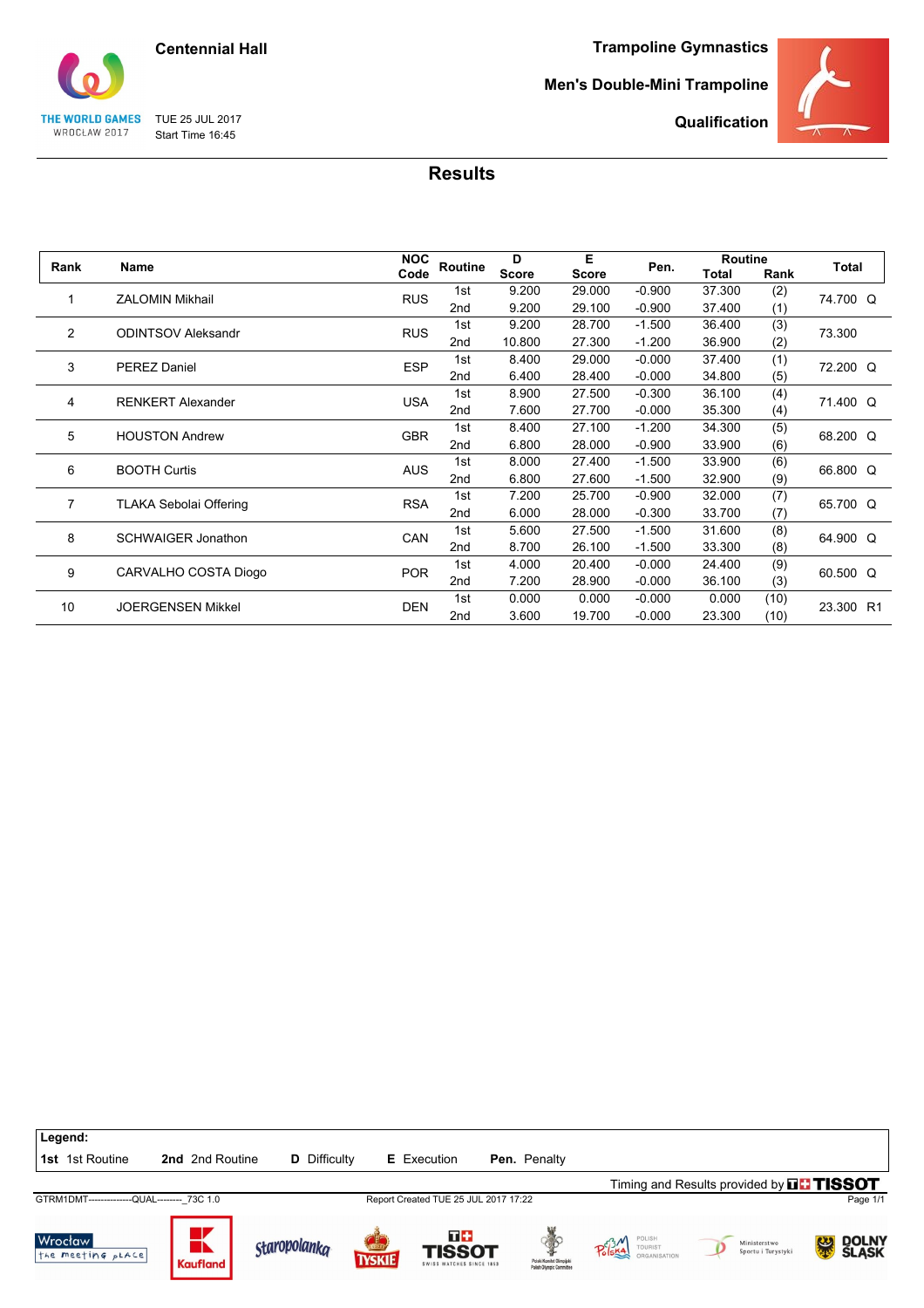

TUE 25 JUL 2017 Start Time 16:45

THE WORLD GAMES WROCŁAW 2017

**Trampoline Gymnastics**

#### **Men's Double-Mini Trampoline**



**Qualification**

|                |                               | <b>NOC</b> |                 | D            | Е            |          | <b>Routine</b> |      | Total     |
|----------------|-------------------------------|------------|-----------------|--------------|--------------|----------|----------------|------|-----------|
| Rank           | Name                          | Code       | Routine         | <b>Score</b> | <b>Score</b> | Pen.     | <b>Total</b>   | Rank |           |
| 1              | <b>ZALOMIN Mikhail</b>        | <b>RUS</b> | 1st             | 9.200        | 29.000       | $-0.900$ | 37.300         | (2)  | 74.700 Q  |
|                |                               |            | 2nd             | 9.200        | 29.100       | $-0.900$ | 37.400         | (1)  |           |
| $\overline{2}$ | <b>ODINTSOV Aleksandr</b>     | <b>RUS</b> | 1st             | 9.200        | 28.700       | $-1.500$ | 36.400         | (3)  | 73.300    |
|                |                               |            | 2 <sub>nd</sub> | 10.800       | 27.300       | $-1.200$ | 36.900         | (2)  |           |
| 3              | <b>PEREZ Daniel</b>           | <b>ESP</b> | 1st             | 8.400        | 29.000       | $-0.000$ | 37.400         | (1)  | 72.200 Q  |
|                |                               |            | 2nd             | 6.400        | 28.400       | $-0.000$ | 34.800         | (5)  |           |
|                | <b>RENKERT Alexander</b>      | <b>USA</b> | 1st             | 8.900        | 27.500       | $-0.300$ | 36.100         | (4)  | 71.400 Q  |
| 4              |                               |            | 2 <sub>nd</sub> | 7.600        | 27.700       | $-0.000$ | 35.300         | (4)  |           |
| 5              | <b>HOUSTON Andrew</b>         | <b>GBR</b> | 1st             | 8.400        | 27.100       | $-1.200$ | 34.300         | (5)  | 68.200 Q  |
|                |                               |            | 2 <sub>nd</sub> | 6.800        | 28.000       | $-0.900$ | 33.900         | (6)  |           |
| 6              | <b>BOOTH Curtis</b>           | <b>AUS</b> | 1st             | 8.000        | 27.400       | $-1.500$ | 33.900         | (6)  | 66.800 Q  |
|                |                               |            | 2 <sub>nd</sub> | 6.800        | 27.600       | $-1.500$ | 32.900         | (9)  |           |
| $\overline{7}$ | <b>TLAKA Sebolai Offering</b> | <b>RSA</b> | 1st             | 7.200        | 25.700       | $-0.900$ | 32.000         | (7)  | 65.700 Q  |
|                |                               |            | 2nd             | 6.000        | 28.000       | $-0.300$ | 33.700         | (7)  |           |
| 8              | <b>SCHWAIGER Jonathon</b>     | CAN        | 1st             | 5.600        | 27.500       | $-1.500$ | 31.600         | (8)  | 64.900 Q  |
|                |                               |            | 2 <sub>nd</sub> | 8.700        | 26.100       | $-1.500$ | 33.300         | (8)  |           |
| 9              | CARVALHO COSTA Diogo          | <b>POR</b> | 1st             | 4.000        | 20.400       | $-0.000$ | 24.400         | (9)  | 60.500 Q  |
|                |                               |            | 2nd             | 7.200        | 28.900       | $-0.000$ | 36.100         | (3)  |           |
| 10             | <b>JOERGENSEN Mikkel</b>      | <b>DEN</b> | 1st             | 0.000        | 0.000        | $-0.000$ | 0.000          | (10) | 23.300 R1 |
|                |                               |            | 2 <sub>nd</sub> | 3.600        | 19.700       | $-0.000$ | 23.300         | (10) |           |

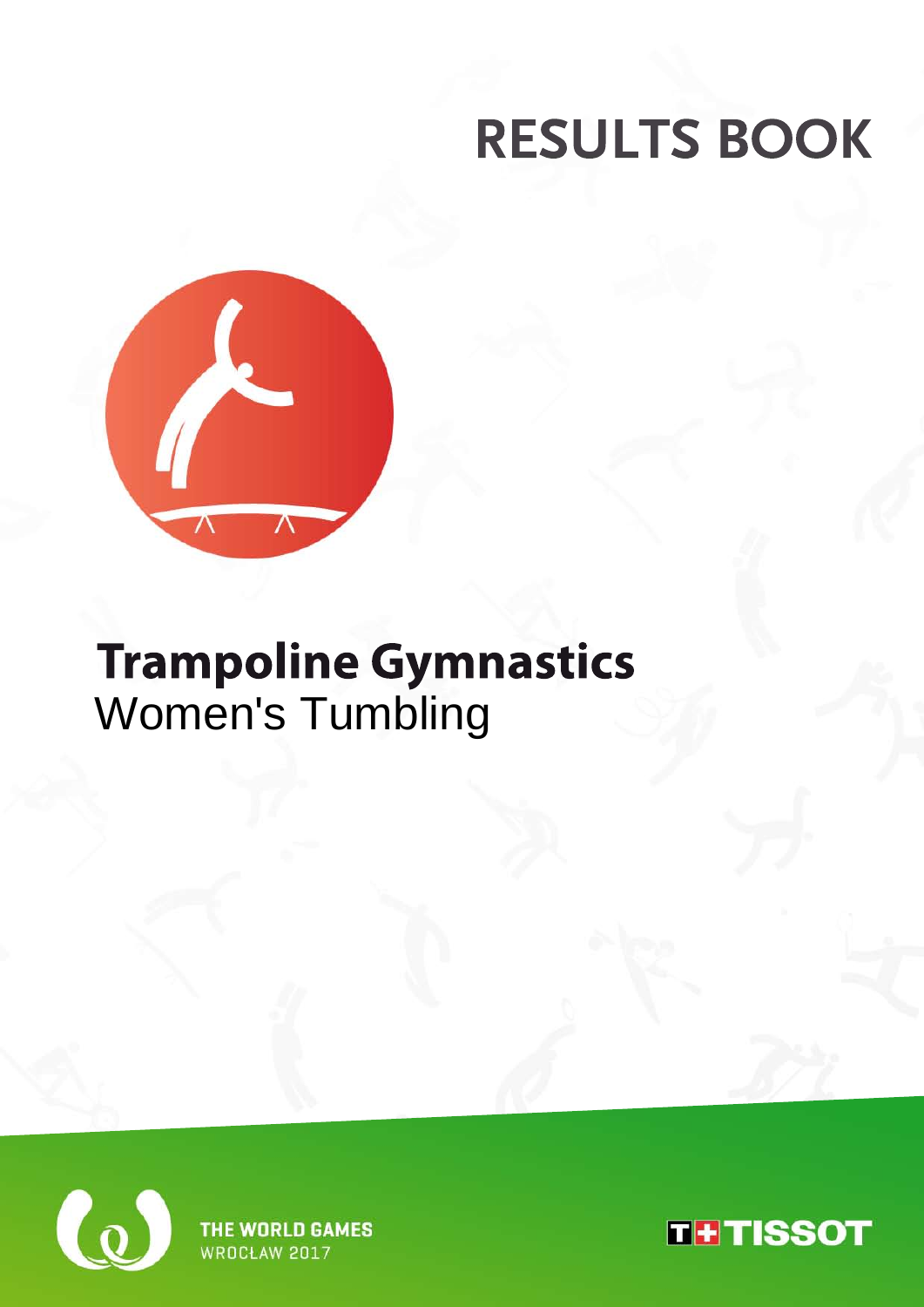

## **Trampoline Gymnastics** Women's Tumbling



THE WORLD GAMES WROCŁAW 2017

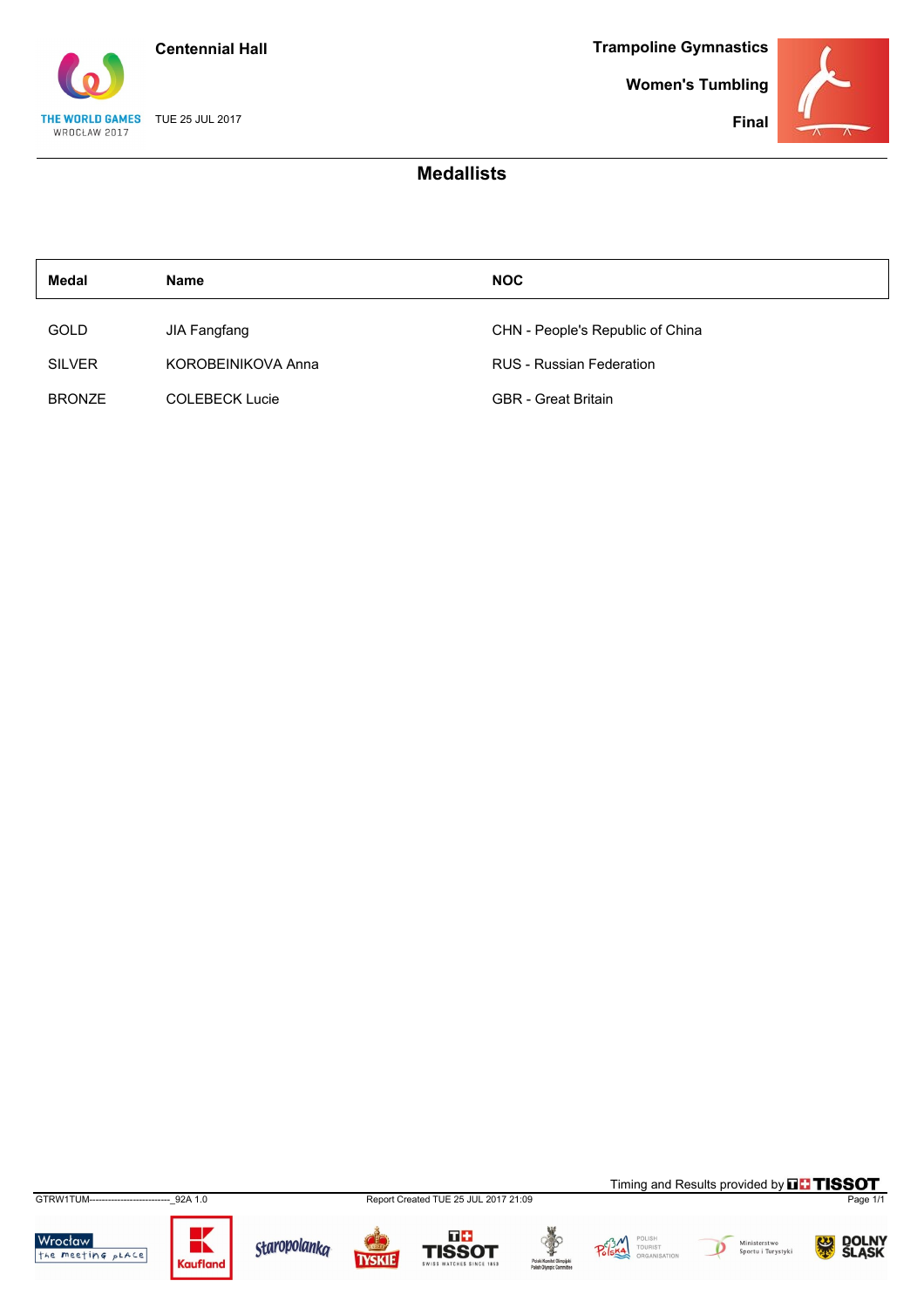

**Women's Tumbling**

**Final**



### **Medallists**

| Medal         | <b>Name</b>           | <b>NOC</b>                       |
|---------------|-----------------------|----------------------------------|
| <b>GOLD</b>   | <b>JIA Fangfang</b>   | CHN - People's Republic of China |
| <b>SILVER</b> | KOROBEINIKOVA Anna    | <b>RUS</b> - Russian Federation  |
| <b>BRONZE</b> | <b>COLEBECK Lucie</b> | <b>GBR</b> - Great Britain       |

GTRW1TUM--------------------------\_92A 1.0 Report Created TUE 25 JUL 2017 21:09 Page 1/1

Wrocław<br>the meeting place













Timing and Results provided by **THISSOT** 

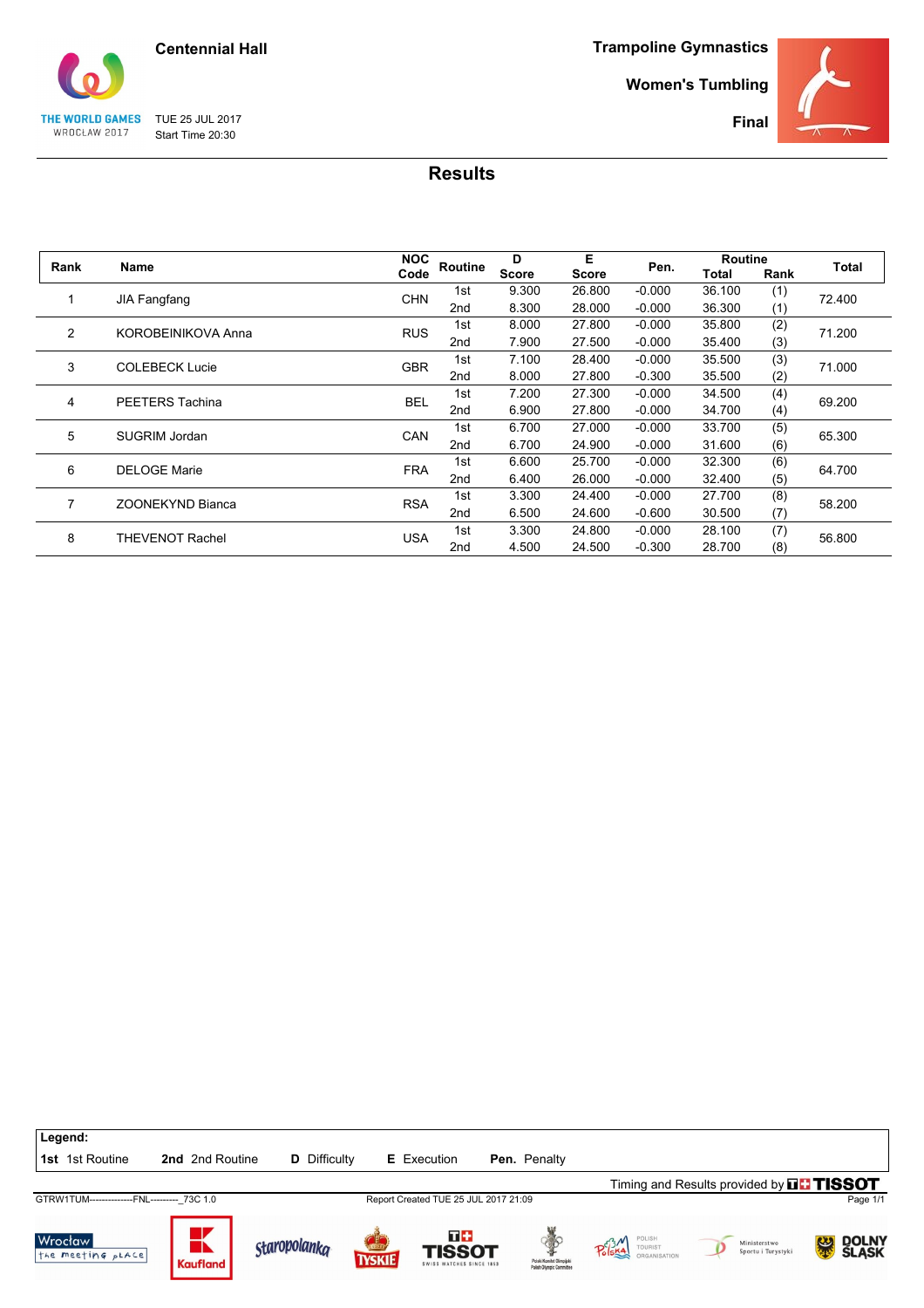

**Women's Tumbling**

**Final**



TUE 25 JUL 2017 Start Time 20:30

THE WORLD GAMES WROCŁAW 2017

| Rank           | Name                    | <b>NOC</b> | Routine         | D            | Е            | Pen.     | <b>Routine</b> |      | Total  |
|----------------|-------------------------|------------|-----------------|--------------|--------------|----------|----------------|------|--------|
|                |                         | Code       |                 | <b>Score</b> | <b>Score</b> |          | Total          | Rank |        |
|                | <b>JIA Fangfang</b>     | <b>CHN</b> | 1st             | 9.300        | 26,800       | $-0.000$ | 36.100         | (1)  | 72.400 |
|                |                         |            | 2nd             | 8.300        | 28.000       | $-0.000$ | 36.300         | (1)  |        |
| $\overline{2}$ | KOROBEINIKOVA Anna      | <b>RUS</b> | 1st             | 8.000        | 27,800       | $-0.000$ | 35.800         | (2)  | 71.200 |
|                |                         |            | 2nd             | 7.900        | 27.500       | $-0.000$ | 35.400         | (3)  |        |
| 3              | <b>COLEBECK Lucie</b>   | <b>GBR</b> | 1st             | 7.100        | 28.400       | $-0.000$ | 35.500         | (3)  | 71.000 |
|                |                         |            | 2nd             | 8.000        | 27,800       | $-0.300$ | 35.500         | (2)  |        |
| 4              | PEETERS Tachina         | <b>BEL</b> | 1st             | 7.200        | 27.300       | $-0.000$ | 34.500         | (4)  | 69.200 |
|                |                         |            | 2nd             | 6.900        | 27,800       | $-0.000$ | 34.700         | (4)  |        |
| 5              | <b>SUGRIM Jordan</b>    | CAN        | 1st             | 6.700        | 27,000       | $-0.000$ | 33.700         | (5)  | 65.300 |
|                |                         |            | 2 <sub>nd</sub> | 6.700        | 24.900       | $-0.000$ | 31.600         | (6)  |        |
| 6              | <b>DELOGE Marie</b>     | <b>FRA</b> | 1st             | 6.600        | 25.700       | $-0.000$ | 32.300         | (6)  | 64.700 |
|                |                         |            | 2nd             | 6.400        | 26,000       | $-0.000$ | 32.400         | (5)  |        |
| 7              | <b>ZOONEKYND Bianca</b> | <b>RSA</b> | 1st             | 3.300        | 24.400       | $-0.000$ | 27.700         | (8)  | 58.200 |
|                |                         |            | 2 <sub>nd</sub> | 6.500        | 24.600       | $-0.600$ | 30.500         | (7)  |        |
| 8              | THEVENOT Rachel         | <b>USA</b> | 1st             | 3.300        | 24.800       | $-0.000$ | 28.100         | (7)  |        |
|                |                         |            | 2 <sub>nd</sub> | 4.500        | 24.500       | $-0.300$ | 28.700         | (8)  | 56.800 |

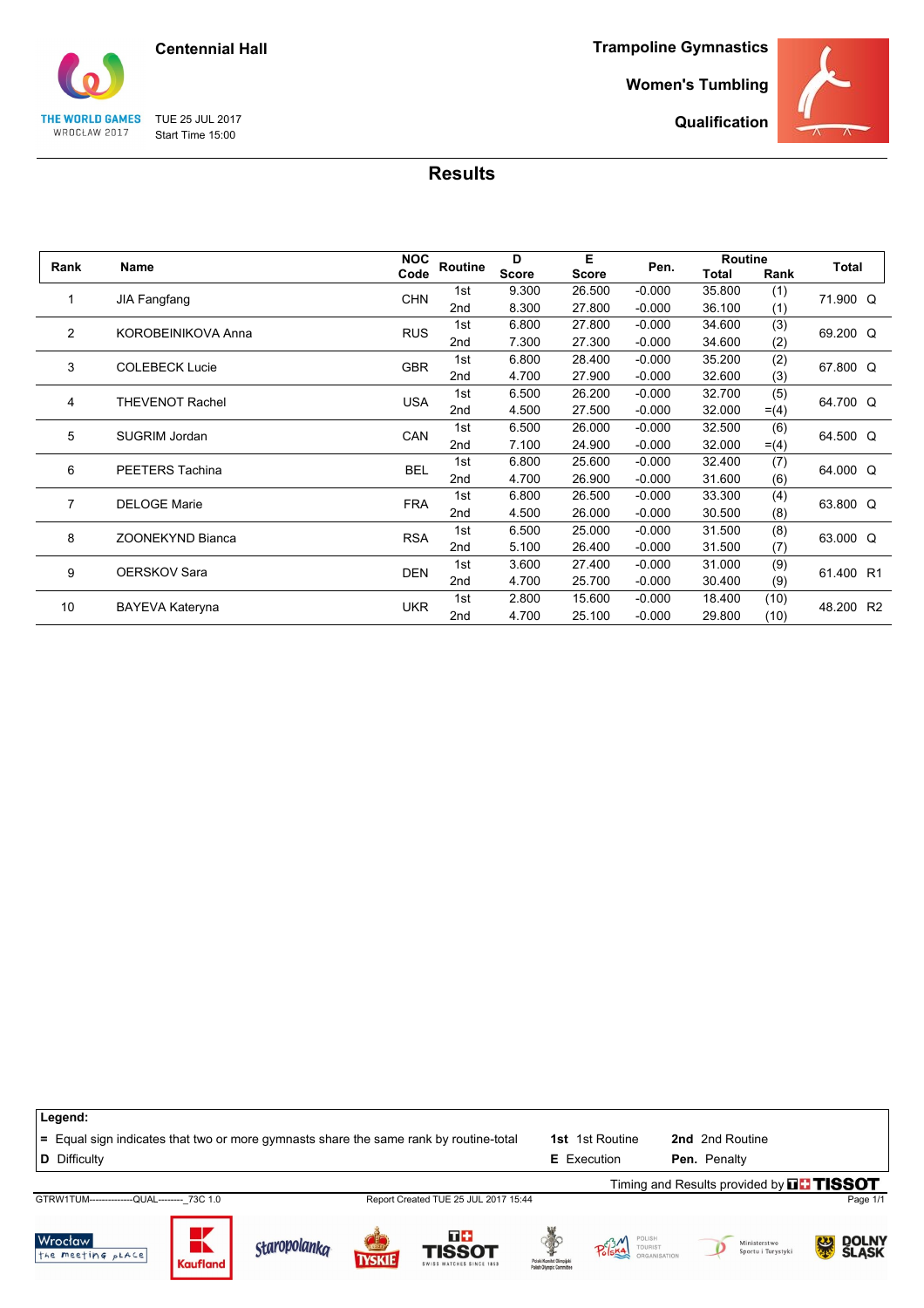![](_page_20_Picture_0.jpeg)

TUE 25 JUL 2017 Start Time 15:00

THE WORLD GAMES WROCŁAW 2017

the meeting pLACE

**Kaufland** 

**Trampoline Gymnastics**

**Women's Tumbling**

**Qualification**

![](_page_20_Picture_4.jpeg)

|    | Rank<br>Name              |            |                 | D            | Е            |          | Routine      |         |           |
|----|---------------------------|------------|-----------------|--------------|--------------|----------|--------------|---------|-----------|
|    |                           | Code       | Routine         | <b>Score</b> | <b>Score</b> | Pen.     | <b>Total</b> | Rank    | Total     |
| 1  |                           | <b>CHN</b> | 1st             | 9.300        | 26.500       | $-0.000$ | 35.800       | (1)     | 71.900 Q  |
|    | <b>JIA Fangfang</b>       |            | 2nd             | 8.300        | 27.800       | $-0.000$ | 36.100       | (1)     |           |
| 2  | <b>KOROBEINIKOVA Anna</b> | <b>RUS</b> | 1st             | 6.800        | 27.800       | $-0.000$ | 34.600       | (3)     | 69.200 Q  |
|    |                           |            | 2nd             | 7.300        | 27.300       | $-0.000$ | 34.600       | (2)     |           |
| 3  | <b>COLEBECK Lucie</b>     | <b>GBR</b> | 1st             | 6.800        | 28.400       | $-0.000$ | 35.200       | (2)     | 67.800 Q  |
|    |                           |            | 2nd             | 4.700        | 27.900       | $-0.000$ | 32.600       | (3)     |           |
| 4  | <b>THEVENOT Rachel</b>    | <b>USA</b> | 1st             | 6.500        | 26.200       | $-0.000$ | 32.700       | (5)     | 64.700 Q  |
|    |                           |            | 2nd             | 4.500        | 27.500       | $-0.000$ | 32.000       | $= (4)$ |           |
| 5  | <b>SUGRIM Jordan</b>      | CAN        | 1st             | 6.500        | 26.000       | $-0.000$ | 32.500       | (6)     | 64.500 Q  |
|    |                           |            | 2nd             | 7.100        | 24.900       | $-0.000$ | 32.000       | $= (4)$ |           |
| 6  | PEETERS Tachina           | <b>BEL</b> | 1st             | 6.800        | 25.600       | $-0.000$ | 32.400       | (7)     | 64.000 Q  |
|    |                           |            | 2nd             | 4.700        | 26.900       | $-0.000$ | 31.600       | (6)     |           |
| 7  | <b>DELOGE Marie</b>       | <b>FRA</b> | 1st             | 6.800        | 26.500       | $-0.000$ | 33.300       | (4)     | 63.800 Q  |
|    |                           |            | 2 <sub>nd</sub> | 4.500        | 26.000       | $-0.000$ | 30.500       | (8)     |           |
| 8  | <b>ZOONEKYND Bianca</b>   | <b>RSA</b> | 1st             | 6.500        | 25.000       | $-0.000$ | 31.500       | (8)     | 63.000 Q  |
|    |                           |            | 2nd             | 5.100        | 26.400       | $-0.000$ | 31.500       | (7)     |           |
| 9  | <b>OERSKOV Sara</b>       | <b>DEN</b> | 1st             | 3.600        | 27.400       | $-0.000$ | 31.000       | (9)     | 61.400 R1 |
|    |                           |            | 2nd             | 4.700        | 25.700       | $-0.000$ | 30.400       | (9)     |           |
| 10 |                           | <b>UKR</b> | 1st             | 2.800        | 15.600       | $-0.000$ | 18.400       | (10)    |           |
|    | BAYEVA Kateryna           |            | 2nd             | 4.700        | 25.100       | $-0.000$ | 29.800       | (10)    | 48.200 R2 |

**Results**

**Legend: =** Equal sign indicates that two or more gymnasts share the same rank by routine-total **1st** 1st Routine **2nd** 2nd Routine **D** Difficulty **E** Execution **Pen.** Penalty Timing and Results provided by **THISSOT** GTRW1TUM--------------QUAL--------\_73C 1.0 Report Created TUE 25 JUL 2017 15:44 Page 1/1  $\overline{u}$ Wrocław K Staropolanka POLISH<br>TOURIST<br>ORGANIS Ministerstwo<br>Sportu i Turystyki DOLNY<br>SLASK  $P_0^{c3}$ Ŗ.  $\overline{D}$ **TISSOT** 

**TYSKIE**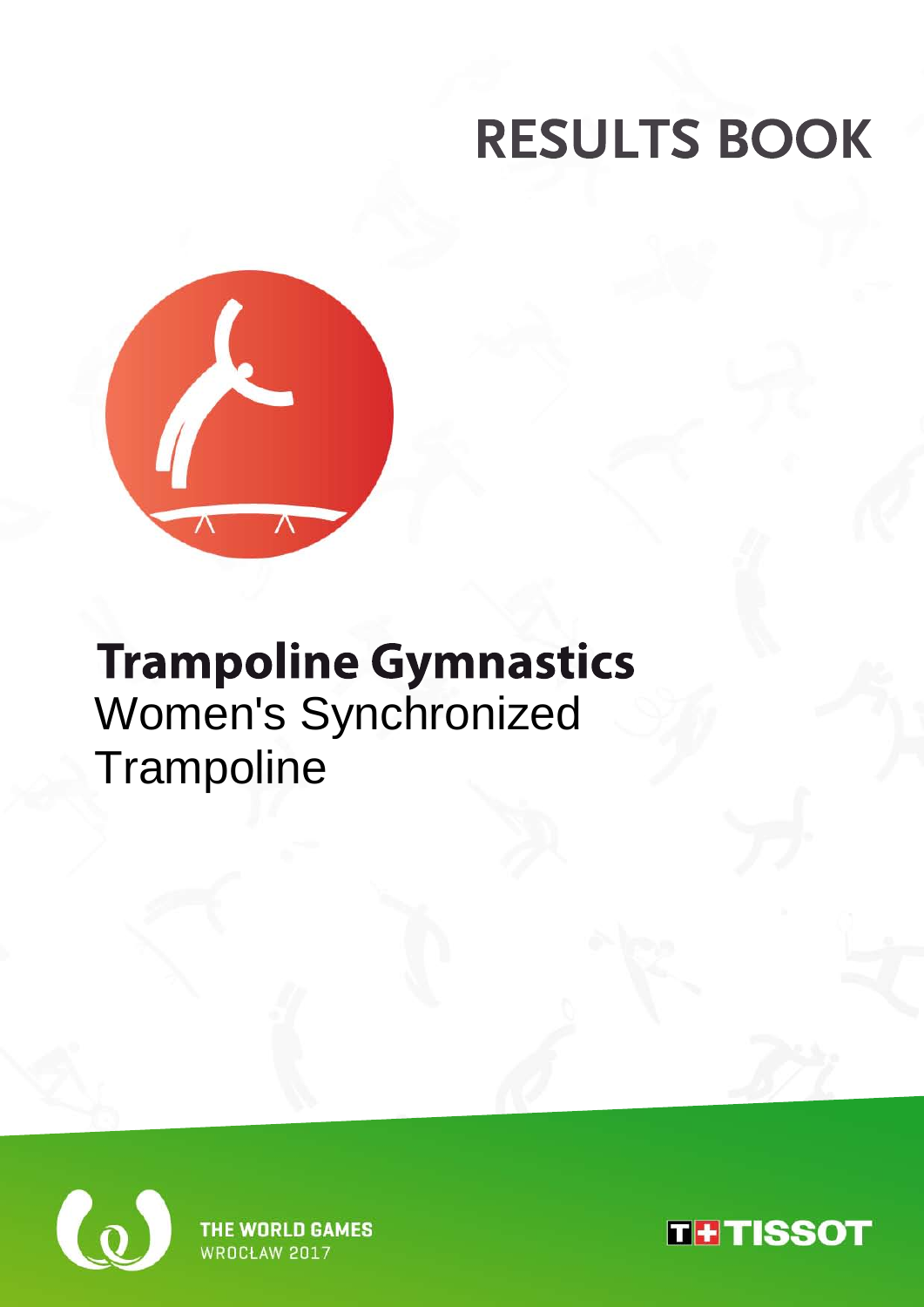![](_page_21_Picture_1.jpeg)

## **Trampoline Gymnastics** Women's Synchronized **Trampoline**

![](_page_21_Picture_3.jpeg)

**THE WORLD GAMES WROCH AW 2017** 

![](_page_21_Picture_5.jpeg)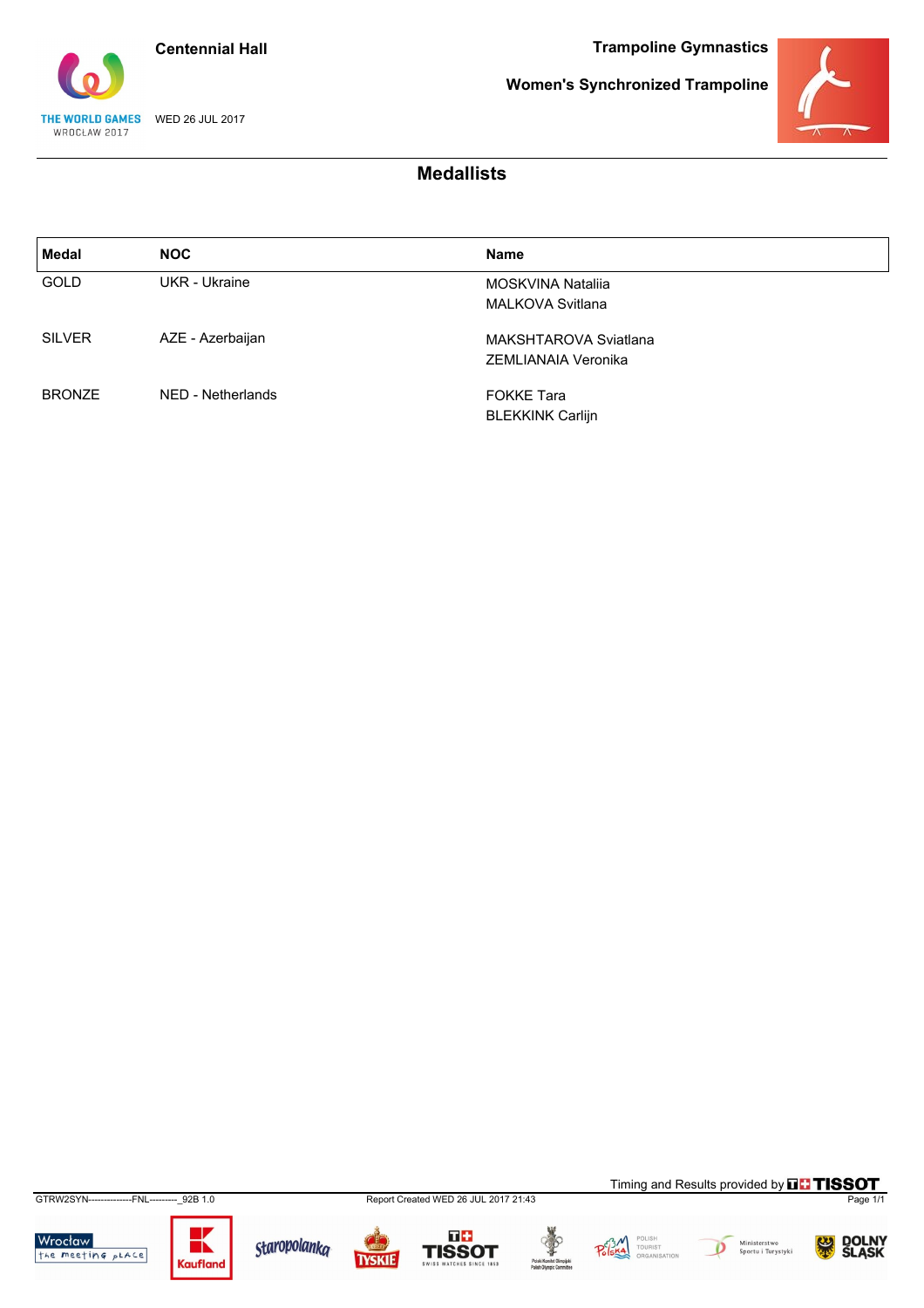**Centennial Hall**

**Trampoline Gymnastics**

![](_page_22_Picture_2.jpeg)

**Women's Synchronized Trampoline**

![](_page_22_Picture_4.jpeg)

### **Medallists**

| Medal         | <b>NOC</b>        | <b>Name</b>             |  |
|---------------|-------------------|-------------------------|--|
| <b>GOLD</b>   | UKR - Ukraine     | MOSKVINA Natalija       |  |
|               |                   | <b>MALKOVA Svitlana</b> |  |
| <b>SILVER</b> | AZE - Azerbaijan  | MAKSHTAROVA Sviatlana   |  |
|               |                   | ZEMLIANAIA Veronika     |  |
| <b>BRONZE</b> | NED - Netherlands | <b>FOKKE Tara</b>       |  |
|               |                   | <b>BLEKKINK Carlijn</b> |  |

GTRW2SYN--------------FNL---------\_92B 1.0 Report Created WED 26 JUL 2017 21:43 Page 1/1

Wrocław<br>the meeting place

![](_page_22_Picture_9.jpeg)

![](_page_22_Picture_10.jpeg)

**TYSKIE** 

![](_page_22_Picture_12.jpeg)

**TISSOT** 

![](_page_22_Picture_14.jpeg)

![](_page_22_Picture_15.jpeg)

![](_page_22_Picture_16.jpeg)

Timing and Results provided by **THISSOT** 

![](_page_22_Picture_17.jpeg)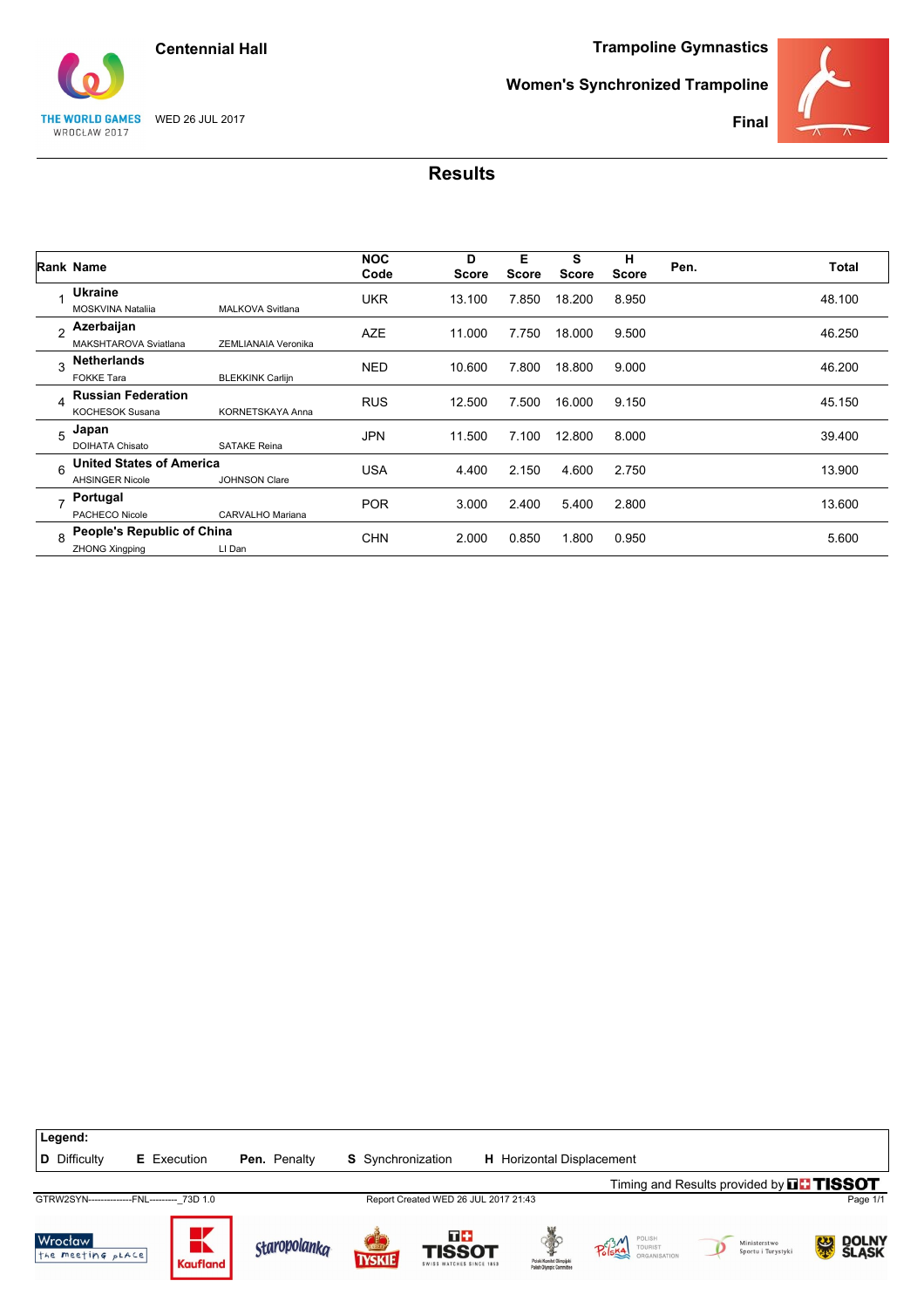![](_page_23_Picture_0.jpeg)

![](_page_23_Picture_2.jpeg)

**Women's Synchronized Trampoline**

![](_page_23_Picture_4.jpeg)

**Final**

|              | Rank Name                                                 |                         | <b>NOC</b><br>Code | D<br><b>Score</b> | Е<br><b>Score</b> | S<br><b>Score</b> | н<br><b>Score</b> | Pen. | <b>Total</b> |
|--------------|-----------------------------------------------------------|-------------------------|--------------------|-------------------|-------------------|-------------------|-------------------|------|--------------|
|              | Ukraine<br><b>MOSKVINA Natalija</b>                       | <b>MALKOVA Svitlana</b> | <b>UKR</b>         | 13.100            | 7.850             | 18.200            | 8.950             |      | 48.100       |
| <sub>2</sub> | Azerbaijan<br>MAKSHTAROVA Sviatlana                       | ZEMLIANAIA Veronika     | <b>AZE</b>         | 11.000            | 7.750             | 18.000            | 9.500             |      | 46.250       |
| ঽ            | <b>Netherlands</b><br><b>FOKKE Tara</b>                   | <b>BLEKKINK Carlijn</b> | <b>NED</b>         | 10.600            | 7.800             | 18.800            | 9.000             |      | 46.200       |
| $\Delta$     | <b>Russian Federation</b><br><b>KOCHESOK Susana</b>       | <b>KORNETSKAYA Anna</b> | <b>RUS</b>         | 12.500            | 7.500             | 16.000            | 9.150             |      | 45.150       |
| 5            | Japan<br><b>DOIHATA Chisato</b>                           | <b>SATAKE Reina</b>     | <b>JPN</b>         | 11.500            | 7.100             | 12.800            | 8.000             |      | 39.400       |
| 6            | <b>United States of America</b><br><b>AHSINGER Nicole</b> | <b>JOHNSON Clare</b>    | <b>USA</b>         | 4.400             | 2.150             | 4.600             | 2.750             |      | 13.900       |
|              | Portugal<br>PACHECO Nicole                                | CARVALHO Mariana        | <b>POR</b>         | 3.000             | 2.400             | 5.400             | 2.800             |      | 13.600       |
| 8            | People's Republic of China<br><b>ZHONG Xingping</b>       | LI Dan                  | <b>CHN</b>         | 2.000             | 0.850             | 1.800             | 0.950             |      | 5.600        |

![](_page_23_Figure_7.jpeg)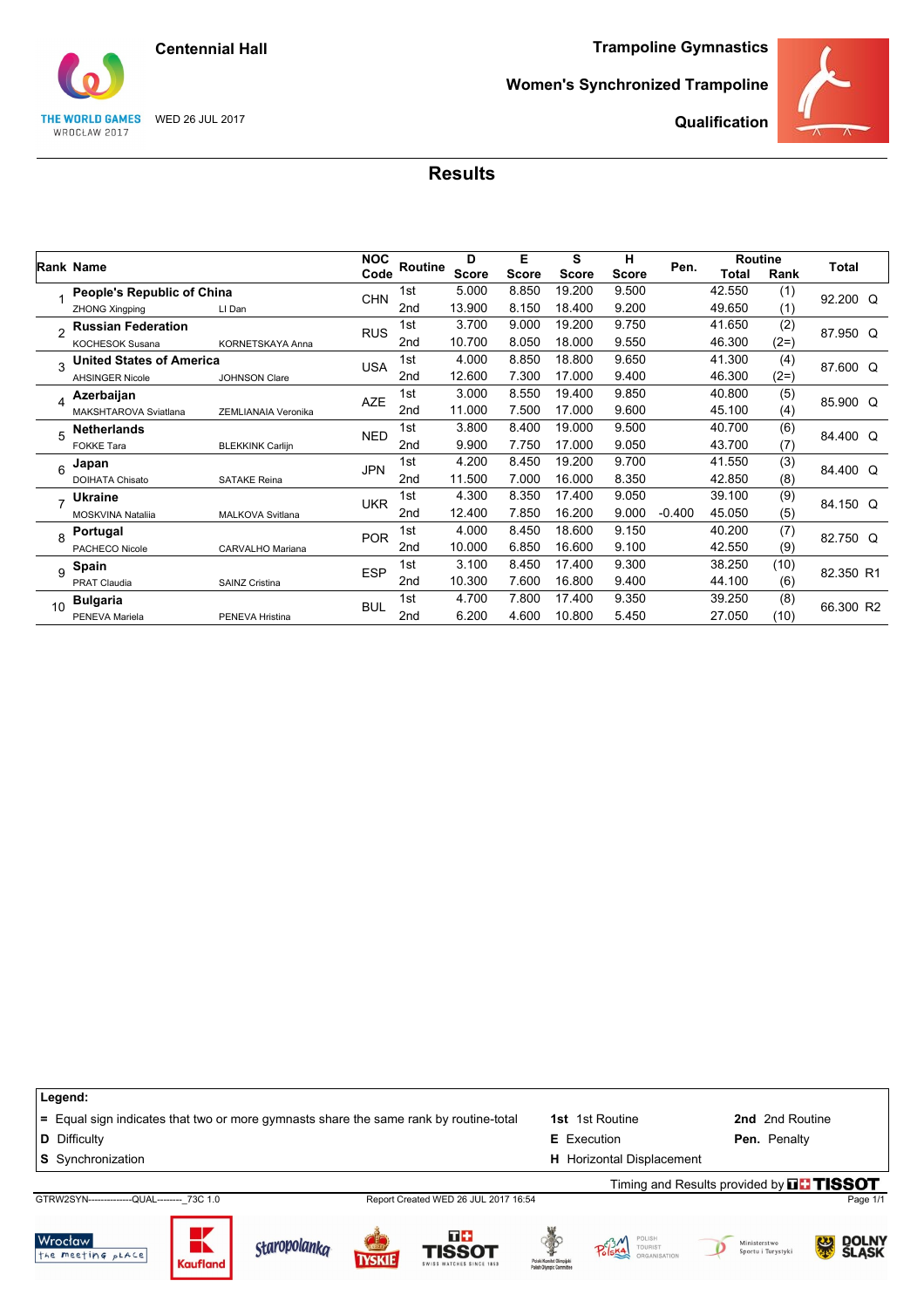**Centennial Hall**

#### **Trampoline Gymnastics**

![](_page_24_Picture_2.jpeg)

**Women's Synchronized Trampoline**

![](_page_24_Picture_4.jpeg)

**Qualification**

### **Results**

|                |                                 |                         | <b>NOC</b> |                 | D            | Е            | s            | н            |          | <b>Routine</b> |        |           |
|----------------|---------------------------------|-------------------------|------------|-----------------|--------------|--------------|--------------|--------------|----------|----------------|--------|-----------|
|                | Rank Name                       |                         | Code       | Routine         | <b>Score</b> | <b>Score</b> | <b>Score</b> | <b>Score</b> | Pen.     | Total          | Rank   | Total     |
|                | People's Republic of China      |                         | <b>CHN</b> | 1st             | 5.000        | 8.850        | 19.200       | 9.500        |          | 42.550         | (1)    | 92.200 Q  |
|                | <b>ZHONG Xingping</b>           | LI Dan                  |            | 2nd             | 13.900       | 8.150        | 18.400       | 9.200        |          | 49.650         | (1)    |           |
| $\mathfrak{p}$ | <b>Russian Federation</b>       |                         | <b>RUS</b> | 1st             | 3.700        | 9.000        | 19.200       | 9.750        |          | 41.650         | (2)    | 87.950 Q  |
|                | <b>KOCHESOK Susana</b>          | <b>KORNETSKAYA Anna</b> |            | 2nd             | 10.700       | 8.050        | 18.000       | 9.550        |          | 46.300         | $(2=)$ |           |
| 3              | <b>United States of America</b> |                         | <b>USA</b> | 1st             | 4.000        | 8.850        | 18.800       | 9.650        |          | 41.300         | (4)    | 87.600 Q  |
|                | <b>AHSINGER Nicole</b>          | <b>JOHNSON Clare</b>    |            | 2nd             | 12.600       | 7.300        | 17.000       | 9.400        |          | 46.300         | $(2=)$ |           |
| 4              | Azerbaijan                      |                         | <b>AZE</b> | 1st             | 3.000        | 8.550        | 19.400       | 9.850        |          | 40.800         | (5)    | 85.900 Q  |
|                | MAKSHTAROVA Sviatlana           | ZEMLIANAIA Veronika     |            | 2 <sub>nd</sub> | 11.000       | 7.500        | 17.000       | 9.600        |          | 45.100         | (4)    |           |
| 5              | <b>Netherlands</b>              |                         | <b>NED</b> | 1st             | 3.800        | 8.400        | 19.000       | 9.500        |          | 40.700         | (6)    | 84.400 Q  |
|                | <b>FOKKE Tara</b>               | <b>BLEKKINK Carlijn</b> |            | 2nd             | 9.900        | 7.750        | 17.000       | 9.050        |          | 43.700         | (7)    |           |
| 6              | Japan                           |                         | <b>JPN</b> | 1st             | 4.200        | 8.450        | 19.200       | 9.700        |          | 41.550         | (3)    | 84.400 Q  |
|                | <b>DOIHATA Chisato</b>          | <b>SATAKE Reina</b>     |            | 2nd             | 11.500       | 7.000        | 16.000       | 8.350        |          | 42.850         | (8)    |           |
| $\overline{ }$ | <b>Ukraine</b>                  |                         | <b>UKR</b> | 1st             | 4.300        | 8.350        | 17.400       | 9.050        |          | 39.100         | (9)    | 84.150 Q  |
|                | MOSKVINA Natalija               | MALKOVA Svitlana        |            | 2 <sub>nd</sub> | 12.400       | 7.850        | 16.200       | 9.000        | $-0.400$ | 45.050         | (5)    |           |
| 8              | Portugal                        |                         | <b>POR</b> | 1st             | 4.000        | 8.450        | 18.600       | 9.150        |          | 40.200         | (7)    | 82.750 Q  |
|                | PACHECO Nicole                  | CARVALHO Mariana        |            | 2nd             | 10.000       | 6.850        | 16.600       | 9.100        |          | 42.550         | (9)    |           |
| 9              | Spain                           |                         | <b>ESP</b> | 1st             | 3.100        | 8.450        | 17.400       | 9.300        |          | 38.250         | (10)   | 82.350 R1 |
|                | <b>PRAT Claudia</b>             | <b>SAINZ Cristina</b>   |            | 2nd             | 10.300       | 7.600        | 16.800       | 9.400        |          | 44.100         | (6)    |           |
| 10             | <b>Bulgaria</b>                 |                         | <b>BUL</b> | 1st             | 4.700        | 7.800        | 17.400       | 9.350        |          | 39.250         | (8)    | 66.300 R2 |
|                | PENEVA Mariela                  | PENEVA Hristina         |            | 2 <sub>nd</sub> | 6.200        | 4.600        | 10.800       | 5.450        |          | 27.050         | (10)   |           |

**Legend: =** Equal sign indicates that two or more gymnasts share the same rank by routine-total **1st** 1st Routine **2nd** 2nd Routine **D** Difficulty **E** Execution **Pen.** Penalty **S** Synchronization **H** Horizontal Displacement GTRW2SYN--------------QUAL--------\_73C 1.0 Report Created WED 26 JUL 2017 16:54 Page 1/1 Timing and Results provided by **THISSOT** 

![](_page_24_Picture_9.jpeg)

![](_page_24_Picture_10.jpeg)

![](_page_24_Picture_11.jpeg)

![](_page_24_Picture_12.jpeg)

![](_page_24_Picture_13.jpeg)

![](_page_24_Picture_14.jpeg)

![](_page_24_Picture_15.jpeg)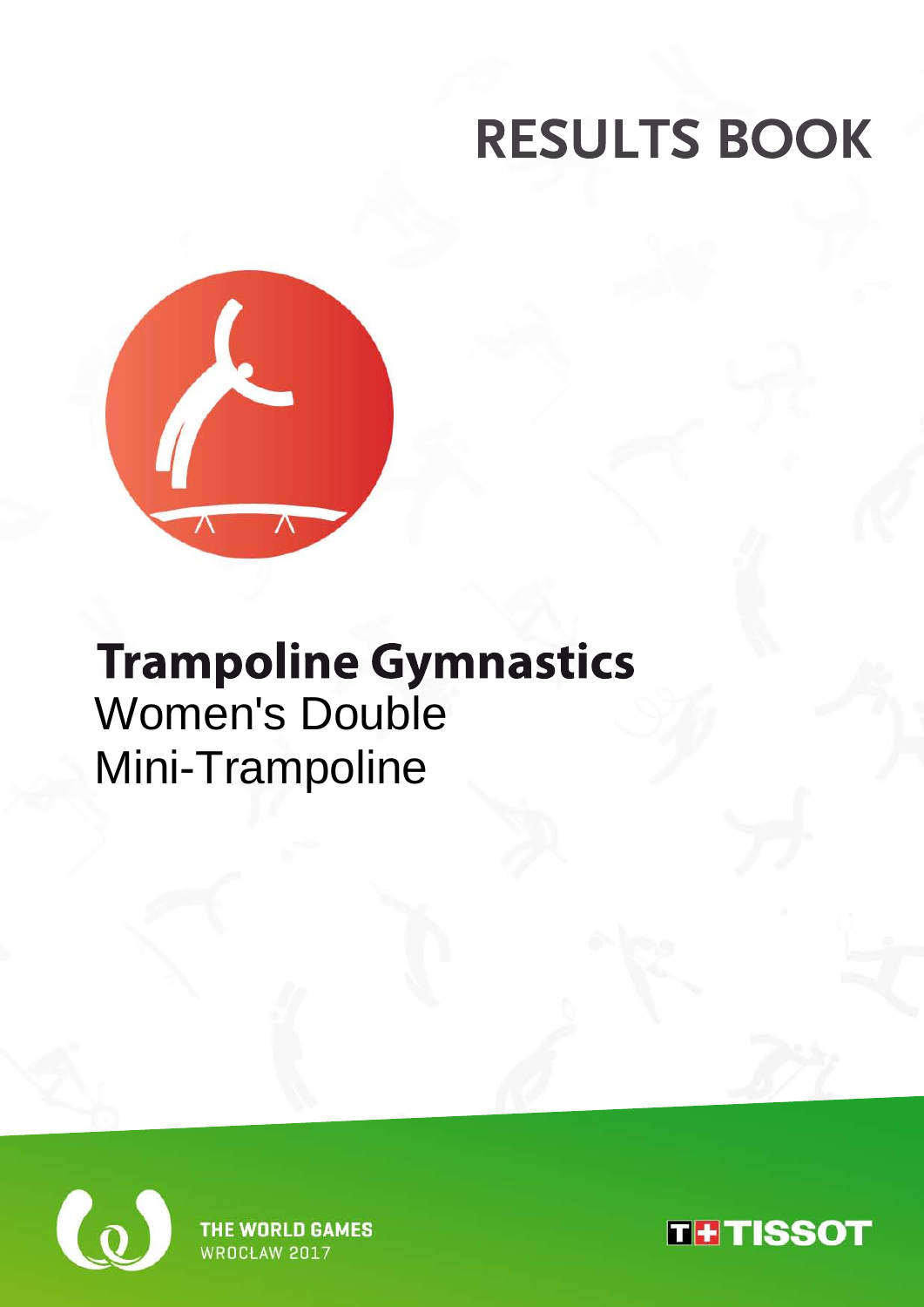![](_page_25_Picture_1.jpeg)

## **Trampoline Gymnastics** Women's Double Mini-Trampoline

![](_page_25_Picture_3.jpeg)

**THE WORLD GAMES WROCH AW 2017** 

![](_page_25_Picture_5.jpeg)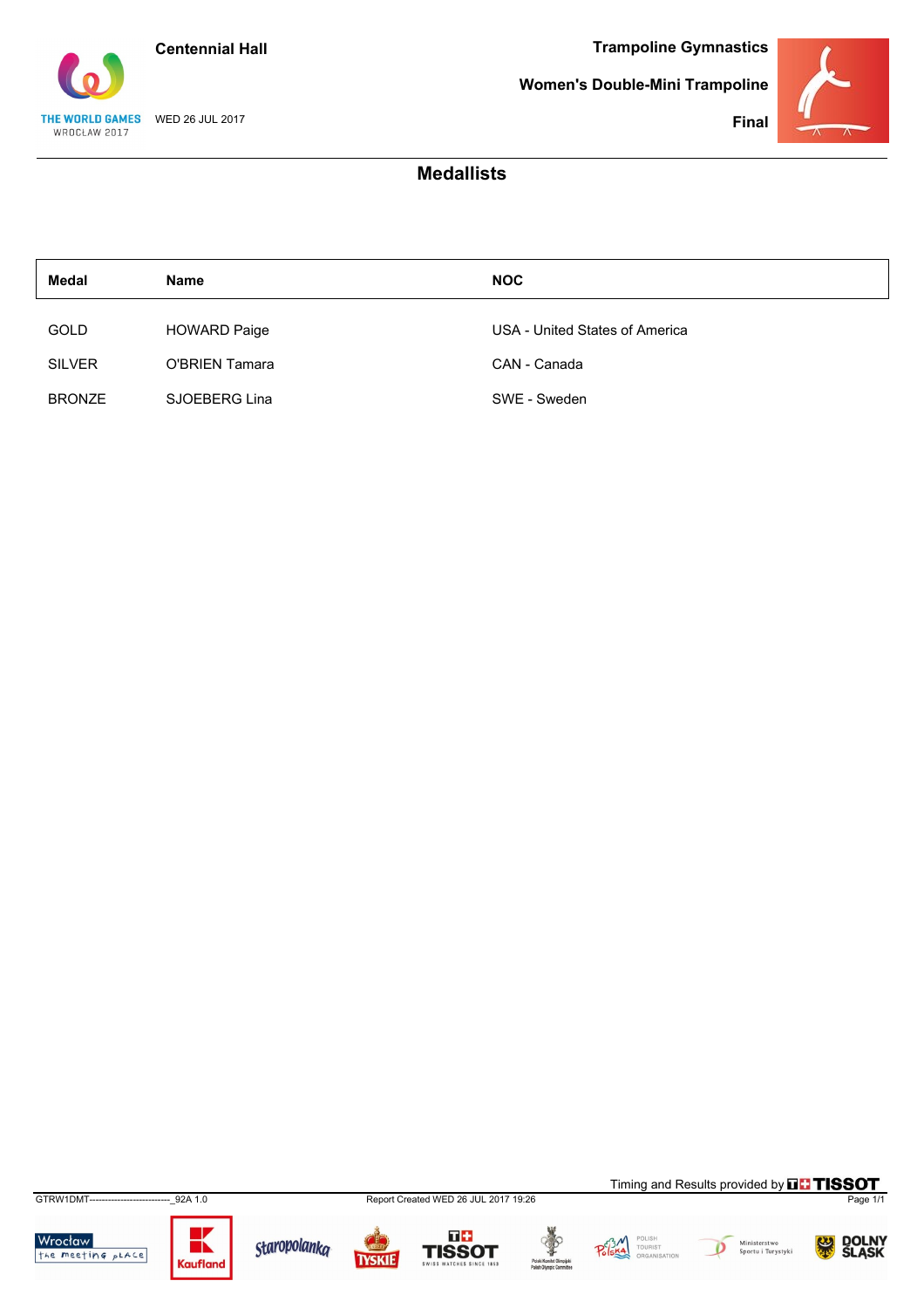![](_page_26_Picture_0.jpeg)

THE WORLD GAMES WED 26 JUL 2017 WROCŁAW 2017

**Women's Double-Mini Trampoline**

![](_page_26_Picture_4.jpeg)

**Final**

### **Medallists**

| Medal         | <b>Name</b>         | <b>NOC</b>                     |
|---------------|---------------------|--------------------------------|
| <b>GOLD</b>   | <b>HOWARD Paige</b> | USA - United States of America |
| <b>SILVER</b> | O'BRIEN Tamara      | CAN - Canada                   |
| <b>BRONZE</b> | SJOEBERG Lina       | SWE - Sweden                   |

GTRW1DMT--------------------------\_92A 1.0 Report Created WED 26 JUL 2017 19:26 Page 1/1

Wrocław<br>the meeting place

![](_page_26_Picture_9.jpeg)

![](_page_26_Picture_10.jpeg)

![](_page_26_Picture_11.jpeg)

![](_page_26_Picture_13.jpeg)

POLISH<br>TOURIST<br>ORGANISA  $P_{\text{o}}^{c3}$ 

![](_page_26_Picture_15.jpeg)

Timing and Results provided by **THISSOT** 

![](_page_26_Picture_16.jpeg)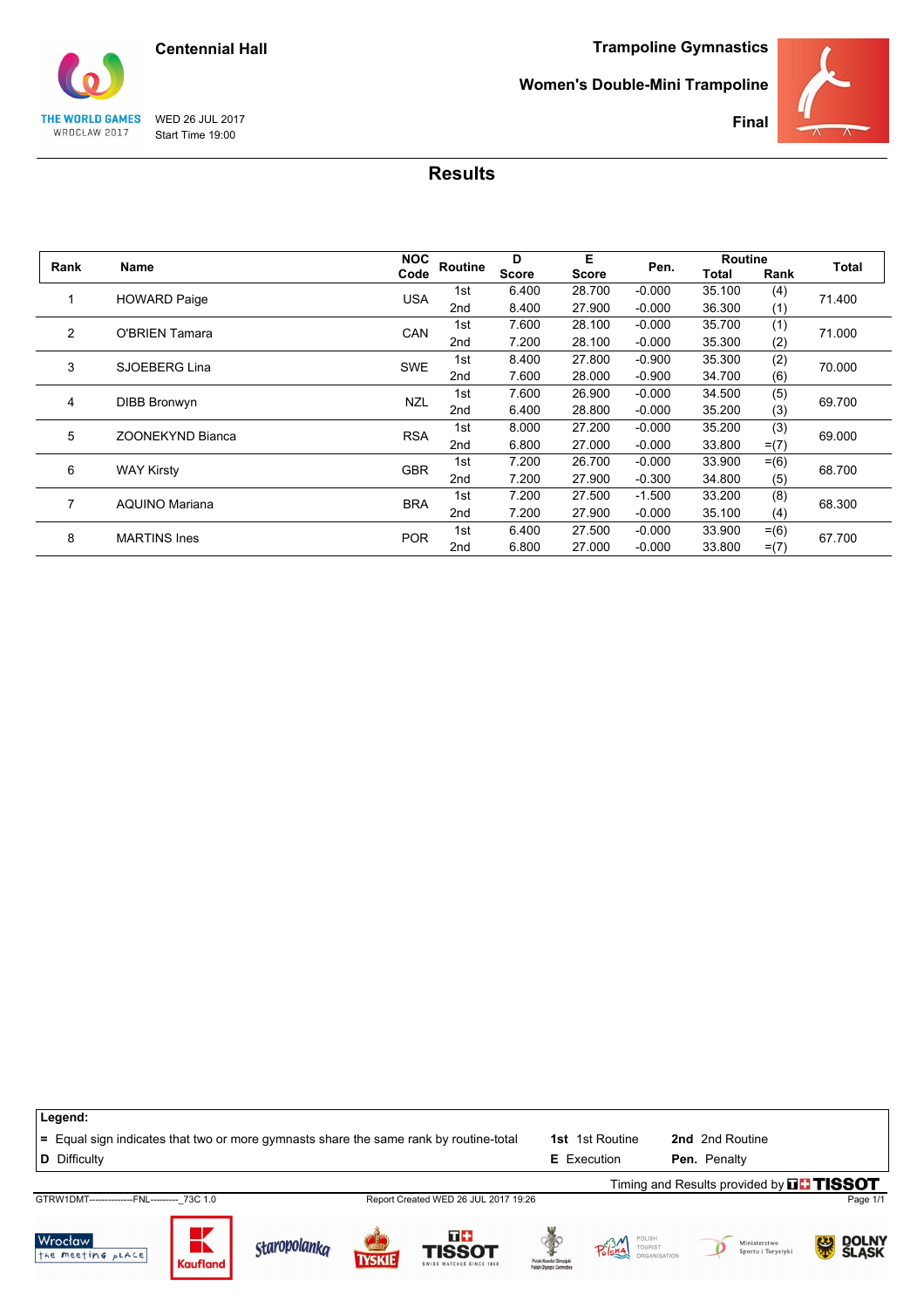![](_page_27_Picture_0.jpeg)

#### **Women's Double-Mini Trampoline**

![](_page_27_Picture_3.jpeg)

THE WORLD GAMES WED 26 JUL 2017<br>WROCŁAW 2017 Start Time 19:00 Start Time 19:00

| Rank           | Name                    | <b>NOC</b> | Routine         | D            | Е      | Pen.     | <b>Routine</b> |         | Total  |  |
|----------------|-------------------------|------------|-----------------|--------------|--------|----------|----------------|---------|--------|--|
|                |                         | Code       |                 | <b>Score</b> | Score  |          | Total          | Rank    |        |  |
|                | <b>HOWARD Paige</b>     | <b>USA</b> | 1st             | 6.400        | 28.700 | $-0.000$ | 35.100         | (4)     | 71.400 |  |
|                |                         |            | 2nd             | 8.400        | 27.900 | $-0.000$ | 36.300         | (1)     |        |  |
| $\overline{2}$ | <b>O'BRIEN Tamara</b>   | <b>CAN</b> | 1st             | 7.600        | 28.100 | $-0.000$ | 35.700         | (1)     | 71.000 |  |
|                |                         |            | 2nd             | 7.200        | 28.100 | $-0.000$ | 35.300         | (2)     |        |  |
| 3              | SJOEBERG Lina           | <b>SWE</b> | 1st             | 8.400        | 27,800 | $-0.900$ | 35.300         | (2)     | 70.000 |  |
|                |                         |            | 2nd             | 7.600        | 28.000 | $-0.900$ | 34.700         | (6)     |        |  |
| 4              | <b>DIBB Bronwyn</b>     | <b>NZL</b> | 1st             | 7.600        | 26.900 | $-0.000$ | 34.500         | (5)     | 69.700 |  |
|                |                         |            | 2nd             | 6.400        | 28.800 | $-0.000$ | 35.200         | (3)     |        |  |
| 5              | <b>ZOONEKYND Bianca</b> | <b>RSA</b> | 1st             | 8.000        | 27.200 | $-0.000$ | 35.200         | (3)     | 69.000 |  |
|                |                         |            | 2 <sub>nd</sub> | 6.800        | 27.000 | $-0.000$ | 33.800         | $= (7)$ |        |  |
| 6              | <b>WAY Kirsty</b>       | <b>GBR</b> | 1st             | 7.200        | 26.700 | $-0.000$ | 33.900         | $= (6)$ | 68.700 |  |
|                |                         |            | 2nd             | 7.200        | 27.900 | $-0.300$ | 34.800         | (5)     |        |  |
| 7              | <b>AQUINO Mariana</b>   | <b>BRA</b> | 1st             | 7.200        | 27.500 | $-1.500$ | 33.200         | (8)     | 68.300 |  |
|                |                         |            | 2 <sub>nd</sub> | 7.200        | 27.900 | $-0.000$ | 35.100         | (4)     |        |  |
| 8              | <b>MARTINS Ines</b>     | <b>POR</b> | 1st             | 6.400        | 27.500 | $-0.000$ | 33.900         | $= (6)$ |        |  |
|                |                         |            | 2 <sub>nd</sub> | 6.800        | 27,000 | $-0.000$ | 33.800         | $= (7)$ | 67.700 |  |

| Legend:                                                                               |                 |                     |  |                                                  |                                                      |                        |  |                                             |                 |          |
|---------------------------------------------------------------------------------------|-----------------|---------------------|--|--------------------------------------------------|------------------------------------------------------|------------------------|--|---------------------------------------------|-----------------|----------|
| = Equal sign indicates that two or more gymnasts share the same rank by routine-total |                 |                     |  |                                                  |                                                      | <b>1st</b> 1st Routine |  | 2nd 2nd Routine                             |                 |          |
| <b>D</b> Difficulty                                                                   |                 |                     |  |                                                  |                                                      | <b>E</b> Execution     |  | Pen. Penalty                                |                 |          |
|                                                                                       |                 |                     |  |                                                  |                                                      |                        |  | Timing and Results provided by $\Pi$ TISSOT |                 |          |
| GTRW1DMT---------------FNL--------- 73C 1.0                                           |                 |                     |  | Report Created WED 26 JUL 2017 19:26             |                                                      |                        |  |                                             |                 | Page 1/1 |
| Wrocław<br>the meeting pLACE                                                          | <b>Kaufland</b> | <b>Staropolanka</b> |  | T ÷<br><b>TISSOT</b><br>SWISS WATCHES SINCE 1853 | Polski Komitet Olimpiisk<br>Polish Olympic Committee | TOURIST                |  | Ministerstwo<br>Sportu i Turystyki          | <b>SU DOLNY</b> |          |